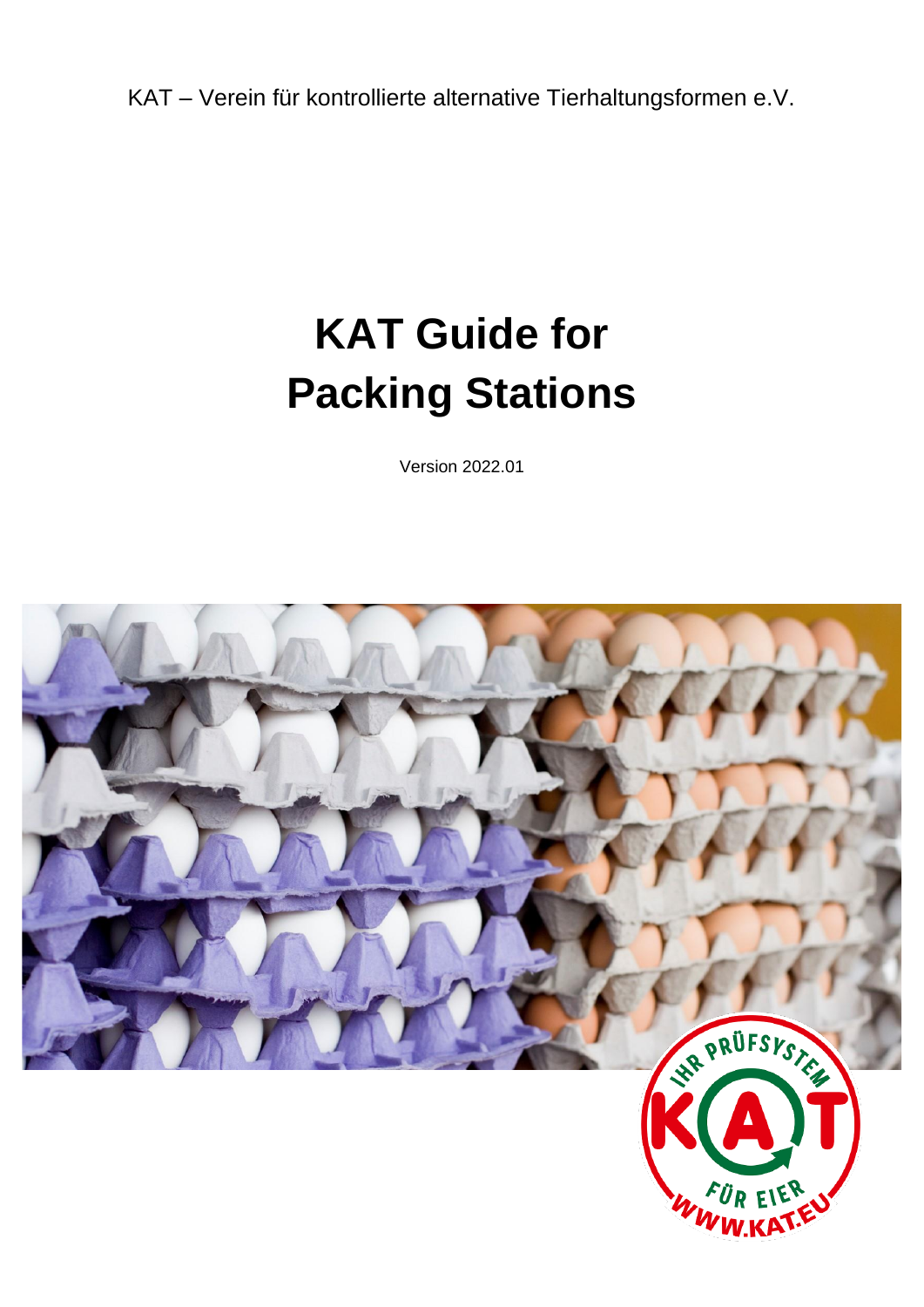KAT – Verein für kontrollierte alternative Tierhaltungsformen e.V.

# **KAT Guide for Packing Stations**

Version 2022.01

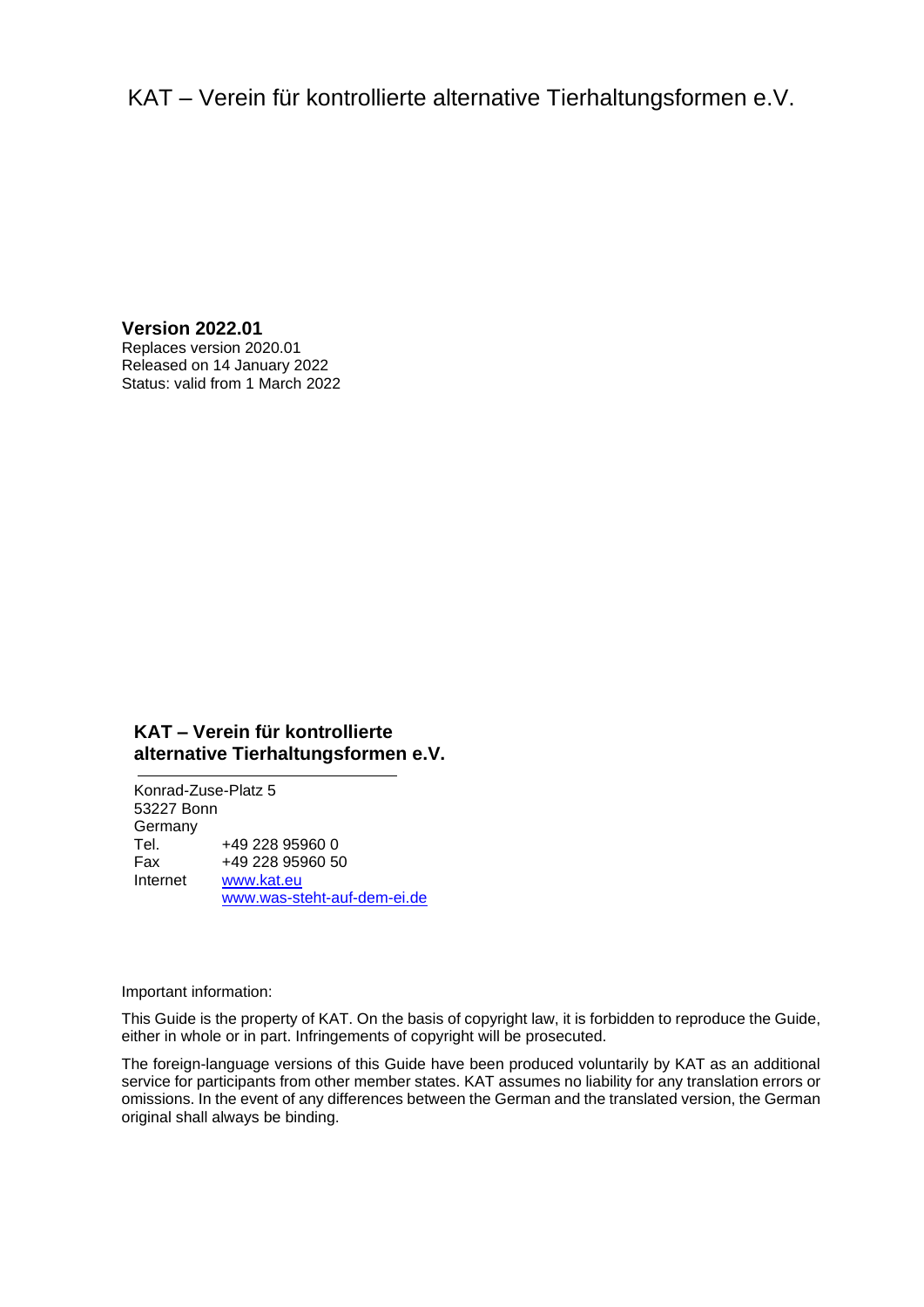# KAT – Verein für kontrollierte alternative Tierhaltungsformen e.V.

**Version 2022.01** Replaces version 2020.01 Released on 14 January 2022 Status: valid from 1 March 2022

# **KAT – Verein für kontrollierte alternative Tierhaltungsformen e.V.**

Konrad-Zuse-Platz 5 53227 Bonn Germany Tel. +49 228 95960 0 Fax +49 228 95960 50 Internet [www.kat.eu](file://///kat-fs01/Kontrollen/KAT/Prüfsystematik%20und%20Leitfäden/1.%20KAT-Prüfsystematik%20und%20Leitfäden%202017-2020/2_Leitfäden/In%20Bearbeitung/Vorlage/www.kat.ec) [www.was-steht-auf-dem-ei.de](file://///kat-fs01/Kontrollen/KAT/Prüfsystematik%20und%20Leitfäden/1.%20KAT-Prüfsystematik%20und%20Leitfäden%202017-2020/2_Leitfäden/In%20Bearbeitung/Vorlage/www.was-steht-auf-dem-ei.de)

Important information:

This Guide is the property of KAT. On the basis of copyright law, it is forbidden to reproduce the Guide, either in whole or in part. Infringements of copyright will be prosecuted.

The foreign-language versions of this Guide have been produced voluntarily by KAT as an additional service for participants from other member states. KAT assumes no liability for any translation errors or omissions. In the event of any differences between the German and the translated version, the German original shall always be binding.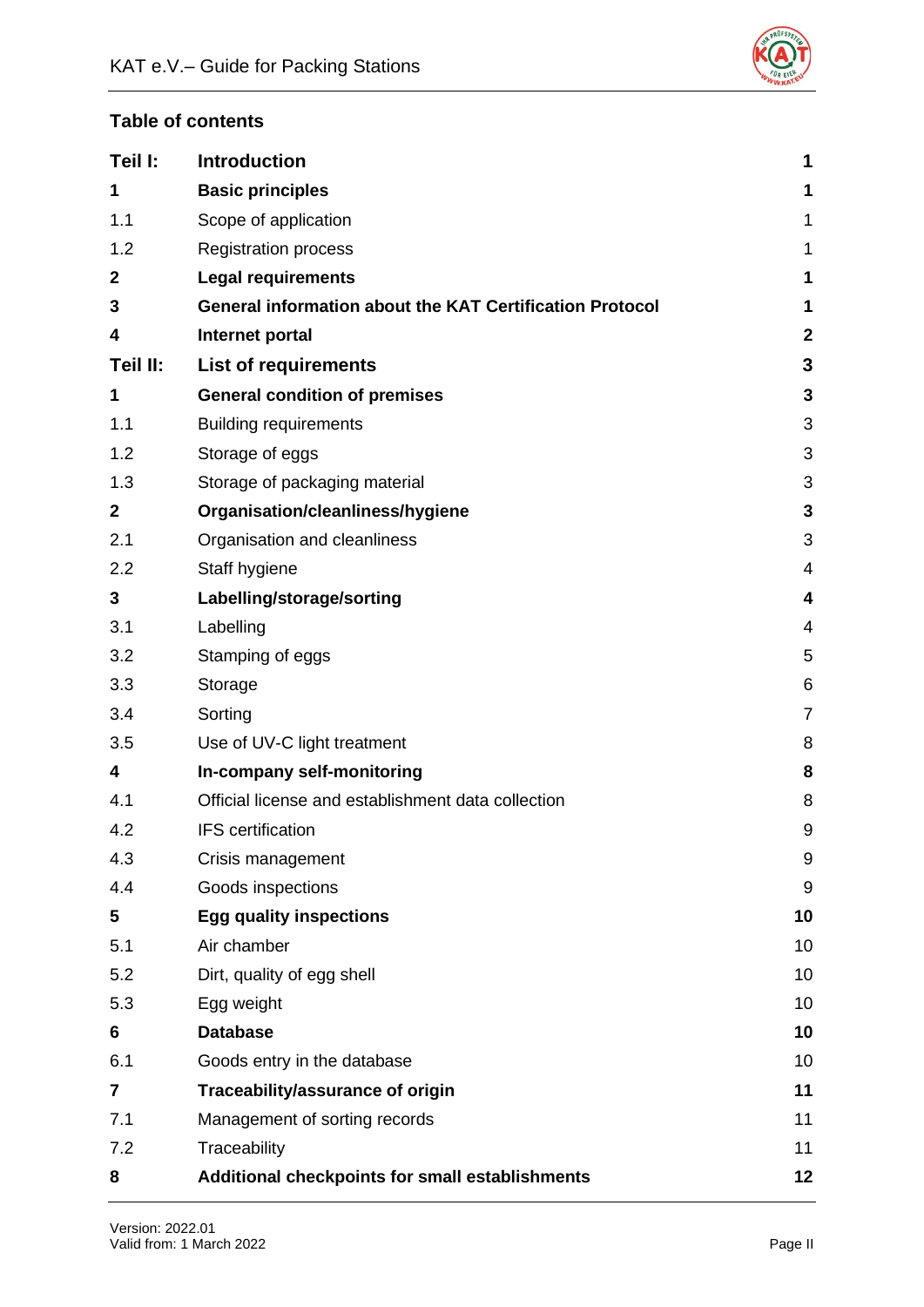

# **Table of contents**

| Teil I:      | <b>Introduction</b>                                             | 1                        |
|--------------|-----------------------------------------------------------------|--------------------------|
| 1            | <b>Basic principles</b>                                         | 1                        |
| 1.1          | Scope of application                                            | 1                        |
| 1.2          | <b>Registration process</b>                                     | 1                        |
| $\mathbf 2$  | <b>Legal requirements</b>                                       | 1                        |
| 3            | <b>General information about the KAT Certification Protocol</b> | 1                        |
| 4            | Internet portal                                                 | $\mathbf{2}$             |
| Teil II:     | <b>List of requirements</b>                                     | $\mathbf{3}$             |
| 1            | <b>General condition of premises</b>                            | 3                        |
| 1.1          | <b>Building requirements</b>                                    | 3                        |
| 1.2          | Storage of eggs                                                 | 3                        |
| 1.3          | Storage of packaging material                                   | 3                        |
| $\mathbf{2}$ | Organisation/cleanliness/hygiene                                | $\mathbf{3}$             |
| 2.1          | Organisation and cleanliness                                    | 3                        |
| 2.2          | Staff hygiene                                                   | $\overline{\mathcal{A}}$ |
| 3            | Labelling/storage/sorting                                       | 4                        |
| 3.1          | Labelling                                                       | 4                        |
| 3.2          | Stamping of eggs                                                | 5                        |
| 3.3          | Storage                                                         | 6                        |
| 3.4          | Sorting                                                         | $\overline{7}$           |
| 3.5          | Use of UV-C light treatment                                     | 8                        |
| 4            | In-company self-monitoring                                      | 8                        |
| 4.1          | Official license and establishment data collection              | 8                        |
| 4.2          | <b>IFS</b> certification                                        | 9                        |
| 4.3          | Crisis management                                               | $9\,$                    |
| 4.4          | Goods inspections                                               | 9                        |
| 5            | <b>Egg quality inspections</b>                                  | 10                       |
| 5.1          | Air chamber                                                     | 10                       |
| 5.2          | Dirt, quality of egg shell                                      | 10                       |
| 5.3          | Egg weight                                                      | 10                       |
| 6            | <b>Database</b>                                                 | 10                       |
| 6.1          | Goods entry in the database                                     | 10                       |
| 7            | Traceability/assurance of origin                                | 11                       |
| 7.1          | Management of sorting records                                   | 11                       |
| 7.2          | Traceability                                                    | 11                       |
| 8            | Additional checkpoints for small establishments                 | 12                       |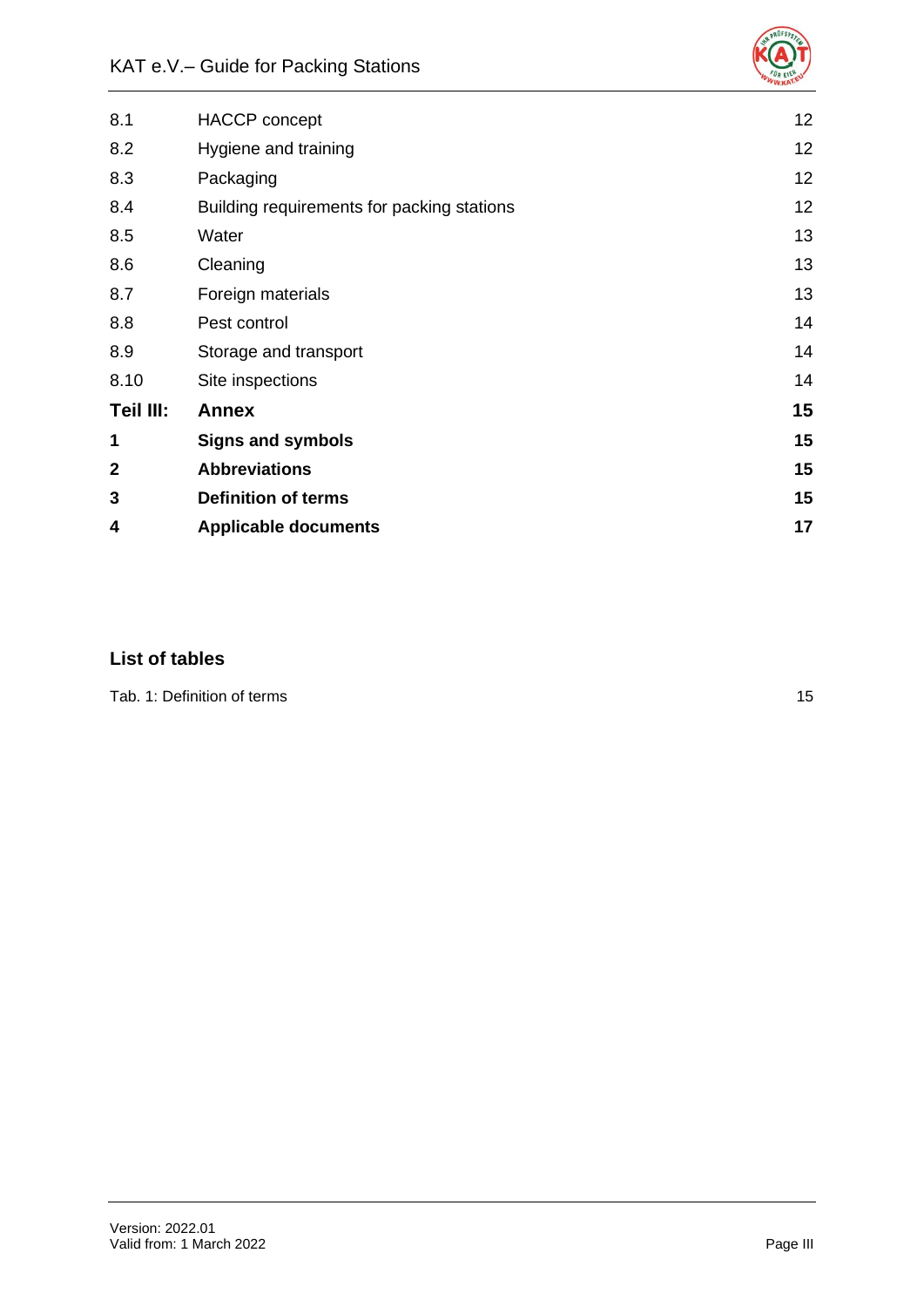

| <b>HACCP</b> concept                       | 12 |
|--------------------------------------------|----|
| Hygiene and training                       | 12 |
| Packaging                                  | 12 |
| Building requirements for packing stations | 12 |
| Water                                      | 13 |
| Cleaning                                   | 13 |
| Foreign materials                          | 13 |
| Pest control                               | 14 |
| Storage and transport                      | 14 |
| Site inspections                           | 14 |
| <b>Annex</b>                               | 15 |
| <b>Signs and symbols</b>                   | 15 |
| <b>Abbreviations</b>                       | 15 |
| <b>Definition of terms</b>                 | 15 |
| <b>Applicable documents</b>                | 17 |
|                                            |    |

# **List of tables**

[Tab. 1: Definition of terms](#page-18-4) 15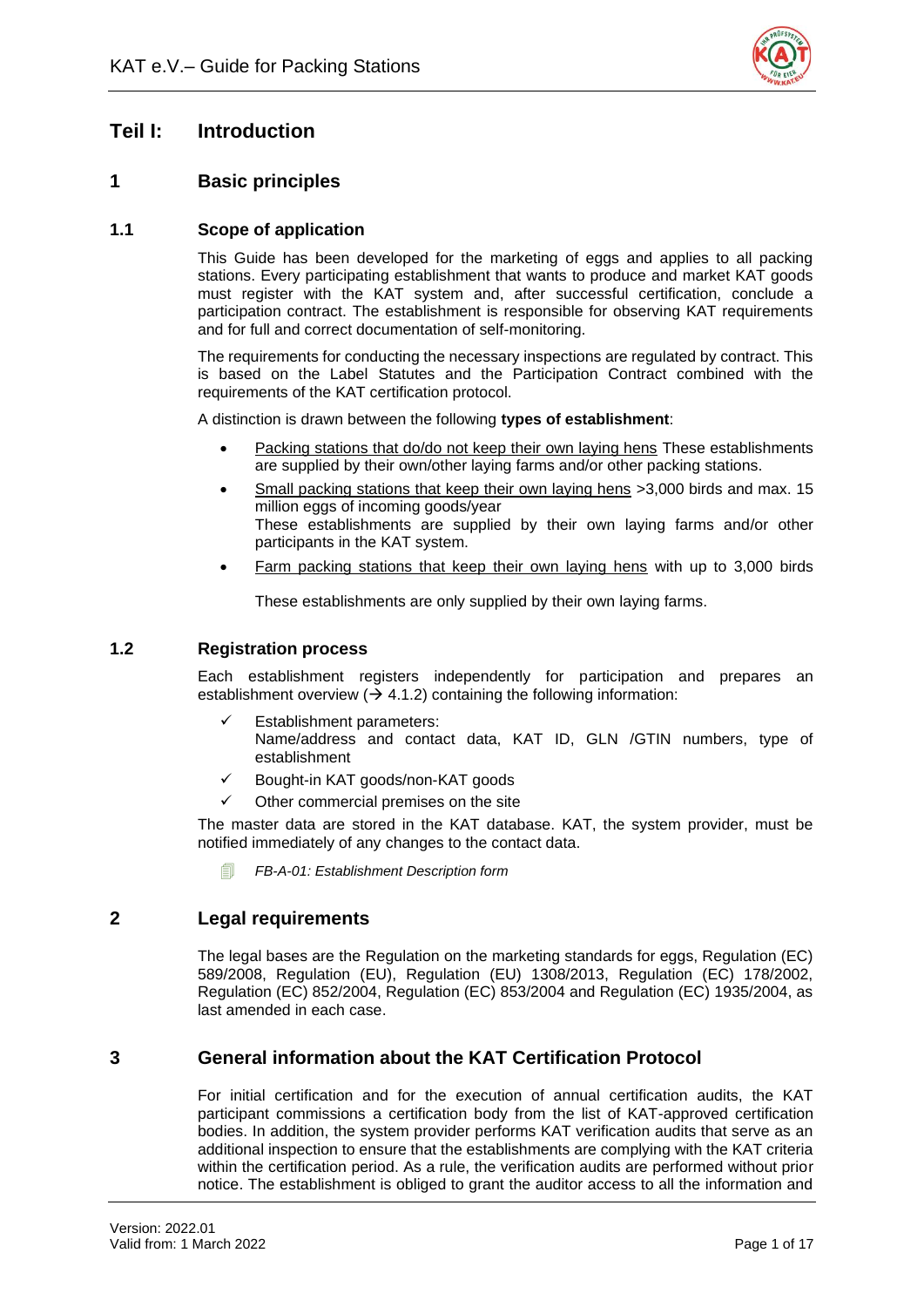

# <span id="page-4-0"></span>**Teil I: Introduction**

# <span id="page-4-1"></span>**1 Basic principles**

# <span id="page-4-2"></span>**1.1 Scope of application**

This Guide has been developed for the marketing of eggs and applies to all packing stations. Every participating establishment that wants to produce and market KAT goods must register with the KAT system and, after successful certification, conclude a participation contract. The establishment is responsible for observing KAT requirements and for full and correct documentation of self-monitoring.

The requirements for conducting the necessary inspections are regulated by contract. This is based on the Label Statutes and the Participation Contract combined with the requirements of the KAT certification protocol.

A distinction is drawn between the following **types of establishment**:

- Packing stations that do/do not keep their own laying hens These establishments are supplied by their own/other laying farms and/or other packing stations.
- Small packing stations that keep their own laying hens >3,000 birds and max. 15 million eggs of incoming goods/year These establishments are supplied by their own laying farms and/or other participants in the KAT system.
- Farm packing stations that keep their own laying hens with up to 3,000 birds

These establishments are only supplied by their own laying farms.

# <span id="page-4-3"></span>**1.2 Registration process**

Each establishment registers independently for participation and prepares an establishment overview ( $\rightarrow$  4.1.2) containing the following information:

- Establishment parameters: Name/address and contact data, KAT ID, GLN /GTIN numbers, type of establishment
- ✓ Bought-in KAT goods/non-KAT goods
- Other commercial premises on the site

The master data are stored in the KAT database. KAT, the system provider, must be notified immediately of any changes to the contact data.

*FB-A-01: Establishment Description form* 

# <span id="page-4-4"></span>**2 Legal requirements**

The legal bases are the Regulation on the marketing standards for eggs, Regulation (EC) 589/2008, Regulation (EU), Regulation (EU) 1308/2013, Regulation (EC) 178/2002, Regulation (EC) 852/2004, Regulation (EC) 853/2004 and Regulation (EC) 1935/2004, as last amended in each case.

# <span id="page-4-5"></span>**3 General information about the KAT Certification Protocol**

For initial certification and for the execution of annual certification audits, the KAT participant commissions a certification body from the list of KAT-approved certification bodies. In addition, the system provider performs KAT verification audits that serve as an additional inspection to ensure that the establishments are complying with the KAT criteria within the certification period. As a rule, the verification audits are performed without prior notice. The establishment is obliged to grant the auditor access to all the information and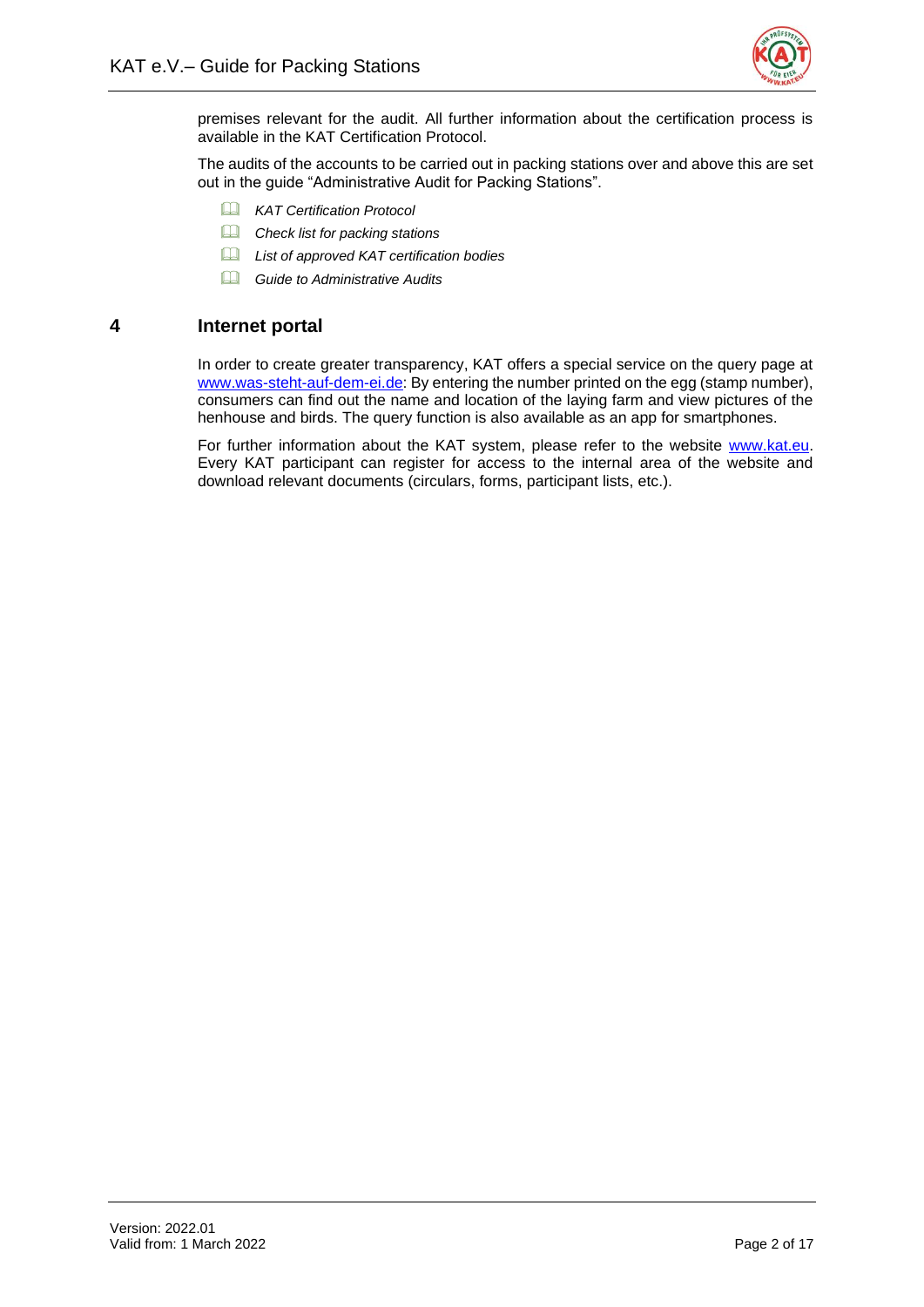

premises relevant for the audit. All further information about the certification process is available in the KAT Certification Protocol.

The audits of the accounts to be carried out in packing stations over and above this are set out in the guide "Administrative Audit for Packing Stations".

- *KAT Certification Protocol*
- *Check list for packing stations*
- *List of approved KAT certification bodies*
- *Guide to Administrative Audits*

# <span id="page-5-0"></span>**4 Internet portal**

In order to create greater transparency, KAT offers a special service on the query page at [www.was-steht-auf-dem-ei.de:](http://www.was-steht-auf-dem-ei.de/) By entering the number printed on the egg (stamp number), consumers can find out the name and location of the laying farm and view pictures of the henhouse and birds. The query function is also available as an app for smartphones.

For further information about the KAT system, please refer to the website [www.kat.eu.](http://www.kat.eu/) Every KAT participant can register for access to the internal area of the website and download relevant documents (circulars, forms, participant lists, etc.).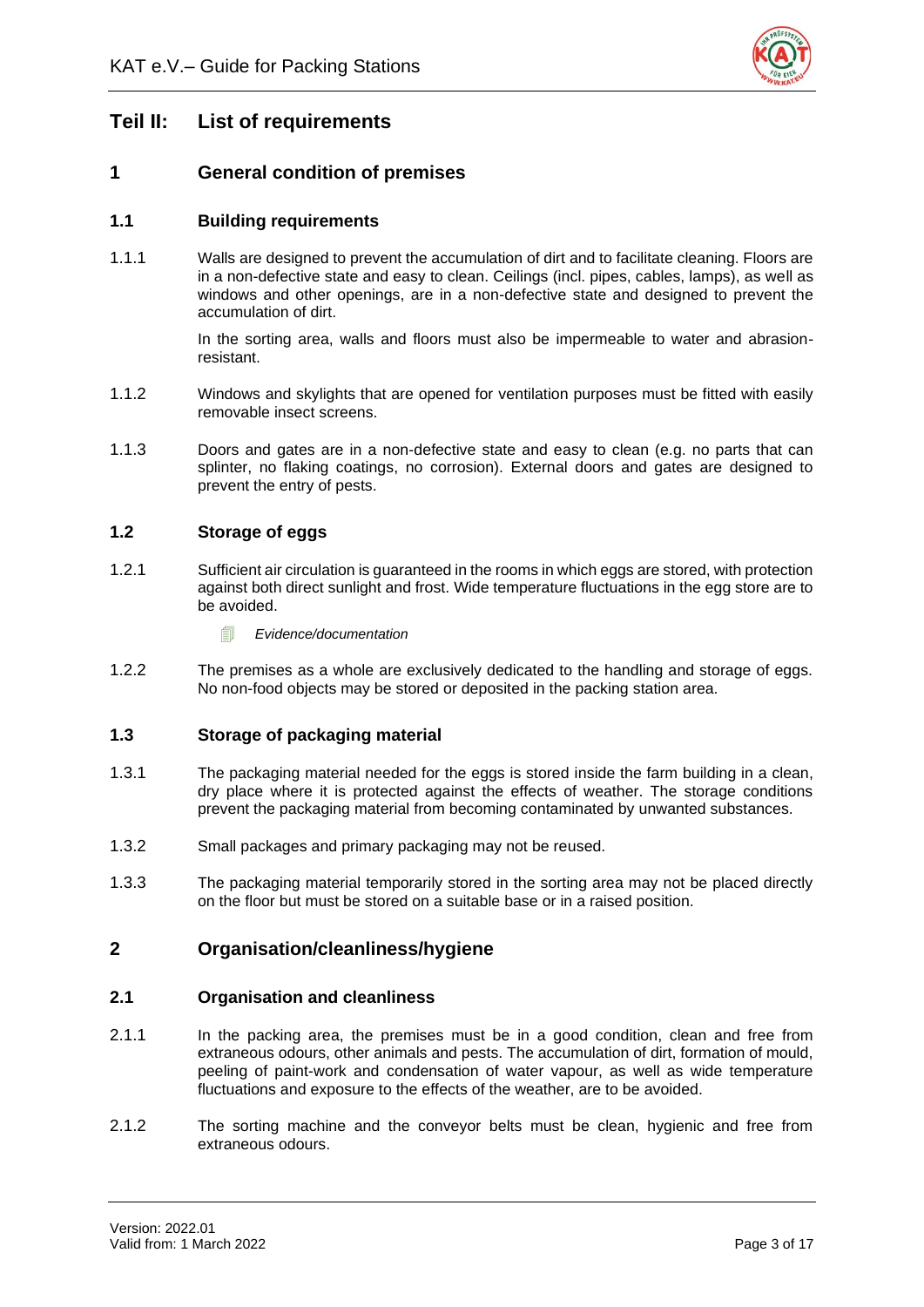

# <span id="page-6-0"></span>**Teil II: List of requirements**

# <span id="page-6-1"></span>**1 General condition of premises**

# <span id="page-6-2"></span>**1.1 Building requirements**

1.1.1 Walls are designed to prevent the accumulation of dirt and to facilitate cleaning. Floors are in a non-defective state and easy to clean. Ceilings (incl. pipes, cables, lamps), as well as windows and other openings, are in a non-defective state and designed to prevent the accumulation of dirt.

> In the sorting area, walls and floors must also be impermeable to water and abrasionresistant.

- 1.1.2 Windows and skylights that are opened for ventilation purposes must be fitted with easily removable insect screens.
- 1.1.3 Doors and gates are in a non-defective state and easy to clean (e.g. no parts that can splinter, no flaking coatings, no corrosion). External doors and gates are designed to prevent the entry of pests.

# <span id="page-6-3"></span>**1.2 Storage of eggs**

- 1.2.1 Sufficient air circulation is guaranteed in the rooms in which eggs are stored, with protection against both direct sunlight and frost. Wide temperature fluctuations in the egg store are to be avoided.
	- *Evidence/documentation*
- 1.2.2 The premises as a whole are exclusively dedicated to the handling and storage of eggs. No non-food objects may be stored or deposited in the packing station area.

#### <span id="page-6-4"></span>**1.3 Storage of packaging material**

- 1.3.1 The packaging material needed for the eggs is stored inside the farm building in a clean, dry place where it is protected against the effects of weather. The storage conditions prevent the packaging material from becoming contaminated by unwanted substances.
- 1.3.2 Small packages and primary packaging may not be reused.
- 1.3.3 The packaging material temporarily stored in the sorting area may not be placed directly on the floor but must be stored on a suitable base or in a raised position.

# <span id="page-6-5"></span>**2 Organisation/cleanliness/hygiene**

#### <span id="page-6-6"></span>**2.1 Organisation and cleanliness**

- 2.1.1 In the packing area, the premises must be in a good condition, clean and free from extraneous odours, other animals and pests. The accumulation of dirt, formation of mould, peeling of paint-work and condensation of water vapour, as well as wide temperature fluctuations and exposure to the effects of the weather, are to be avoided.
- 2.1.2 The sorting machine and the conveyor belts must be clean, hygienic and free from extraneous odours.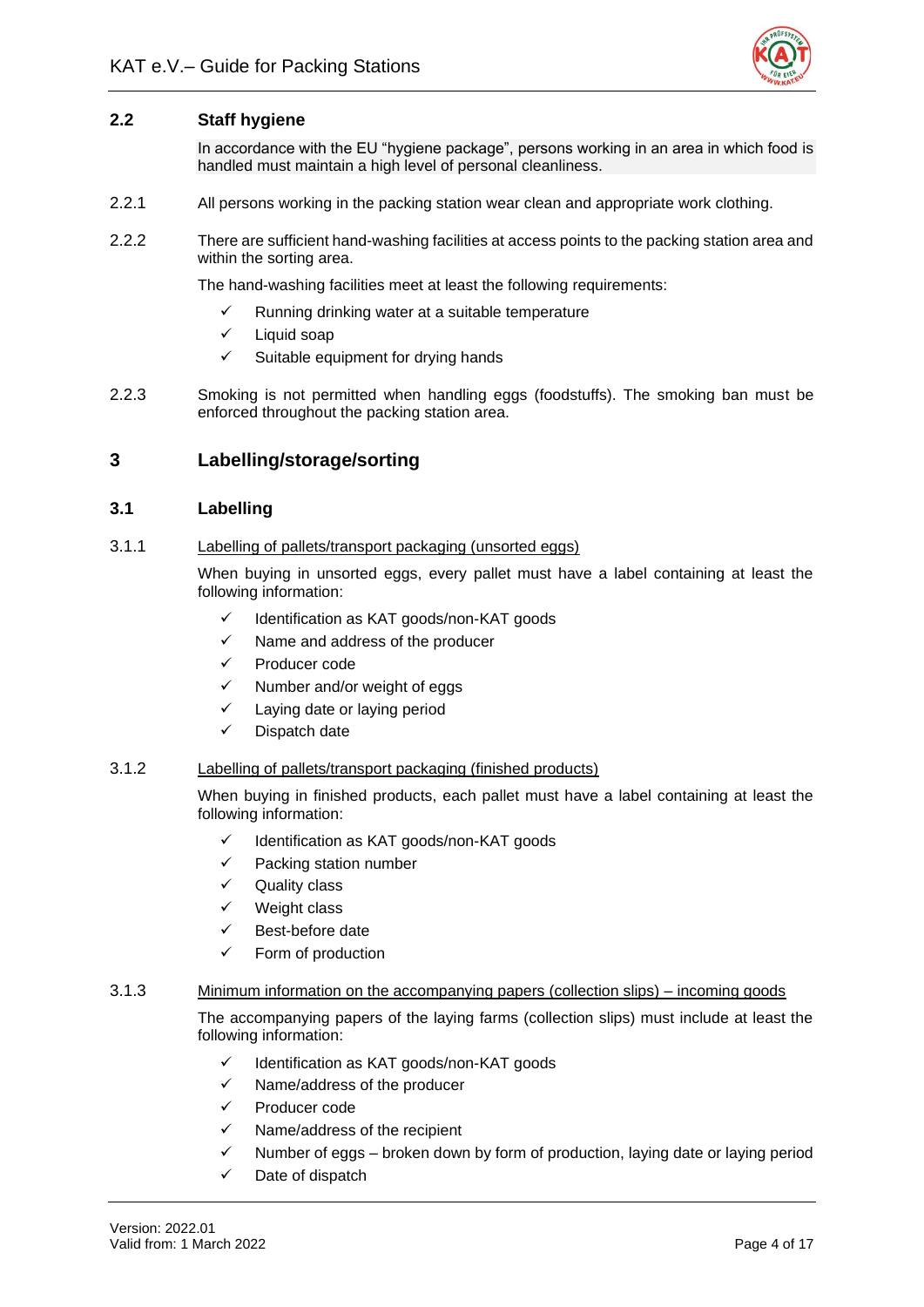

# <span id="page-7-0"></span>**2.2 Staff hygiene**

In accordance with the EU "hygiene package", persons working in an area in which food is handled must maintain a high level of personal cleanliness.

- 2.2.1 All persons working in the packing station wear clean and appropriate work clothing.
- 2.2.2 There are sufficient hand-washing facilities at access points to the packing station area and within the sorting area.

The hand-washing facilities meet at least the following requirements:

- $\checkmark$  Running drinking water at a suitable temperature
- ✓ Liquid soap
- $\checkmark$  Suitable equipment for drying hands
- 2.2.3 Smoking is not permitted when handling eggs (foodstuffs). The smoking ban must be enforced throughout the packing station area.

# <span id="page-7-1"></span>**3 Labelling/storage/sorting**

# <span id="page-7-2"></span>**3.1 Labelling**

#### 3.1.1 Labelling of pallets/transport packaging (unsorted eggs)

When buying in unsorted eggs, every pallet must have a label containing at least the following information:

- ✓ Identification as KAT goods/non-KAT goods
- ✓ Name and address of the producer
- Producer code
- ✓ Number and/or weight of eggs
- ✓ Laying date or laying period
- Dispatch date

#### 3.1.2 Labelling of pallets/transport packaging (finished products)

When buying in finished products, each pallet must have a label containing at least the following information:

- ✓ Identification as KAT goods/non-KAT goods
- ✓ Packing station number
- Quality class
- ✓ Weight class
- ✓ Best-before date
- ✓ Form of production

#### 3.1.3 Minimum information on the accompanying papers (collection slips) – incoming goods

The accompanying papers of the laying farms (collection slips) must include at least the following information:

- ✓ Identification as KAT goods/non-KAT goods
- ✓ Name/address of the producer
- ✓ Producer code
- Name/address of the recipient
- $\checkmark$  Number of eggs broken down by form of production, laying date or laying period
- ✓ Date of dispatch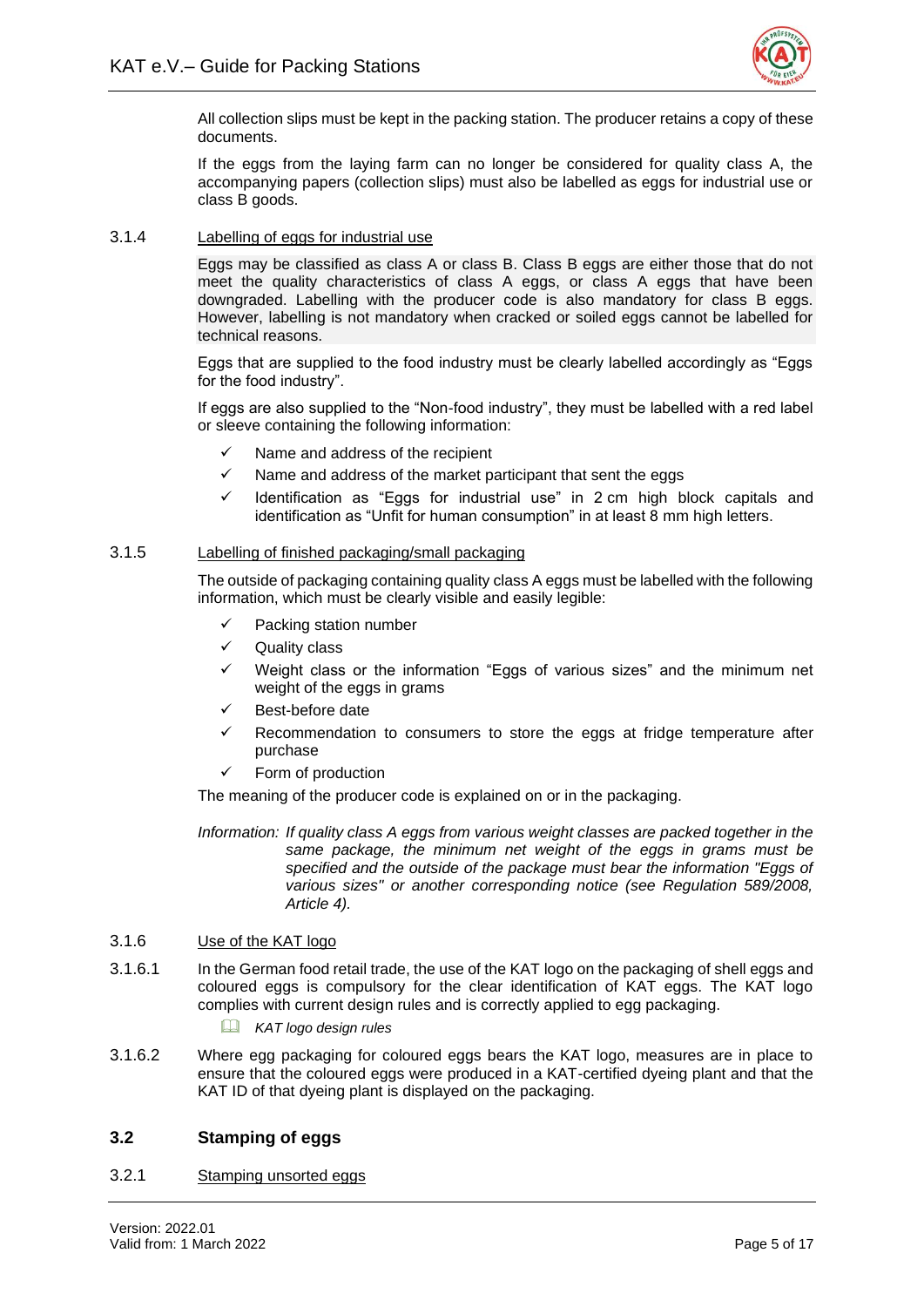

All collection slips must be kept in the packing station. The producer retains a copy of these documents.

If the eggs from the laying farm can no longer be considered for quality class A, the accompanying papers (collection slips) must also be labelled as eggs for industrial use or class B goods.

#### 3.1.4 Labelling of eggs for industrial use

Eggs may be classified as class A or class B. Class B eggs are either those that do not meet the quality characteristics of class A eggs, or class A eggs that have been downgraded. Labelling with the producer code is also mandatory for class B eggs. However, labelling is not mandatory when cracked or soiled eggs cannot be labelled for technical reasons.

Eggs that are supplied to the food industry must be clearly labelled accordingly as "Eggs for the food industry".

If eggs are also supplied to the "Non-food industry", they must be labelled with a red label or sleeve containing the following information:

- Name and address of the recipient
- $\checkmark$  Name and address of the market participant that sent the eggs
- Identification as "Eggs for industrial use" in 2 cm high block capitals and identification as "Unfit for human consumption" in at least 8 mm high letters.

#### 3.1.5 Labelling of finished packaging/small packaging

The outside of packaging containing quality class A eggs must be labelled with the following information, which must be clearly visible and easily legible:

- $\checkmark$  Packing station number
- ✓ Quality class
- Weight class or the information "Eggs of various sizes" and the minimum net weight of the eggs in grams
- ✓ Best-before date
- Recommendation to consumers to store the eggs at fridge temperature after purchase
- ✓ Form of production

The meaning of the producer code is explained on or in the packaging.

*Information: If quality class A eggs from various weight classes are packed together in the same package, the minimum net weight of the eggs in grams must be specified and the outside of the package must bear the information "Eggs of various sizes" or another corresponding notice (see Regulation 589/2008, Article 4).*

#### 3.1.6 Use of the KAT logo

- 3.1.6.1 In the German food retail trade, the use of the KAT logo on the packaging of shell eggs and coloured eggs is compulsory for the clear identification of KAT eggs. The KAT logo complies with current design rules and is correctly applied to egg packaging.
	- *KAT logo design rules*
- 3.1.6.2 Where egg packaging for coloured eggs bears the KAT logo, measures are in place to ensure that the coloured eggs were produced in a KAT-certified dyeing plant and that the KAT ID of that dyeing plant is displayed on the packaging.

#### <span id="page-8-0"></span>**3.2 Stamping of eggs**

3.2.1 Stamping unsorted eggs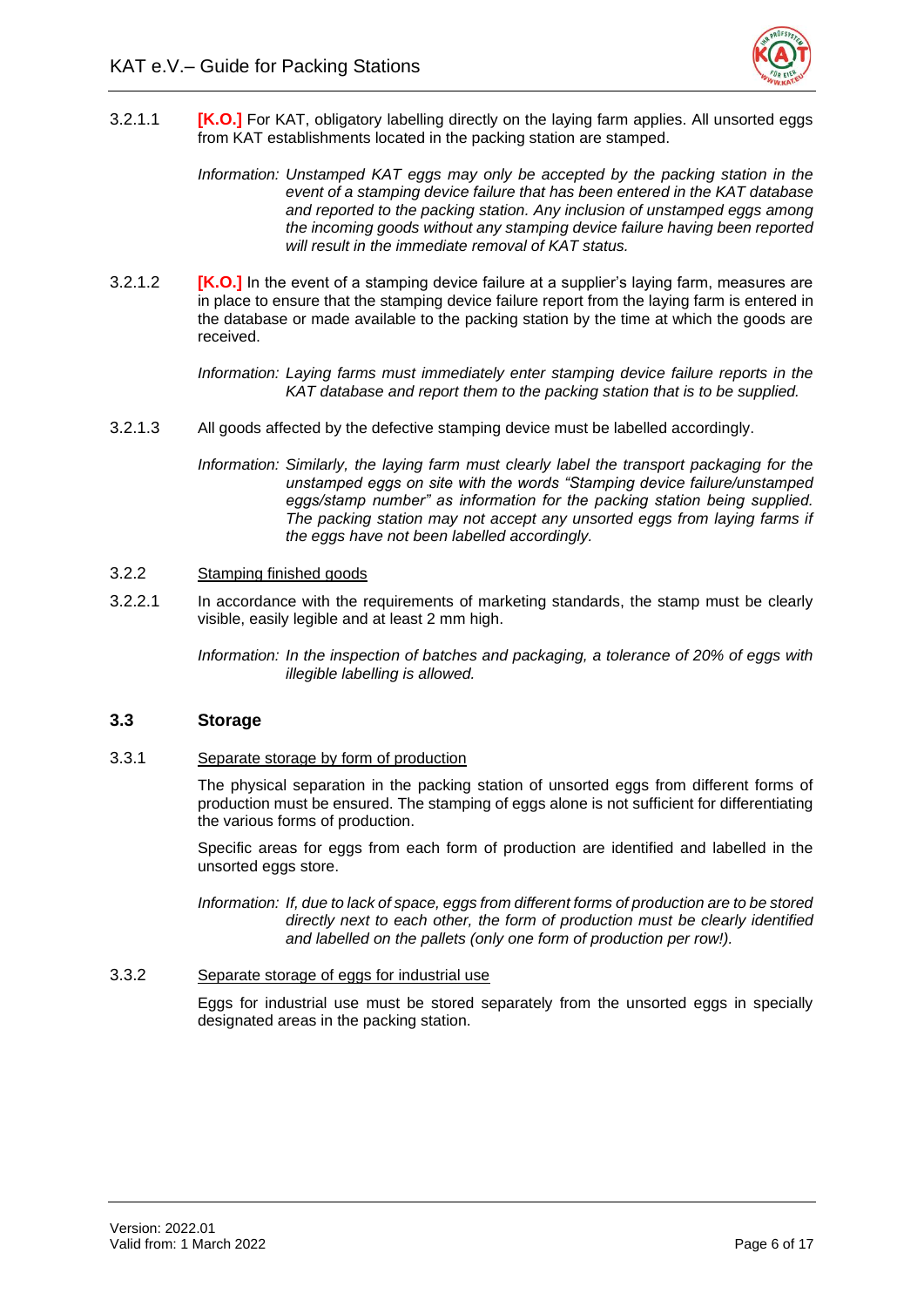

- 3.2.1.1 **[K.O.]** For KAT, obligatory labelling directly on the laying farm applies. All unsorted eggs from KAT establishments located in the packing station are stamped.
	- *Information: Unstamped KAT eggs may only be accepted by the packing station in the event of a stamping device failure that has been entered in the KAT database and reported to the packing station. Any inclusion of unstamped eggs among the incoming goods without any stamping device failure having been reported will result in the immediate removal of KAT status.*
- 3.2.1.2 **[K.O.]** In the event of a stamping device failure at a supplier's laying farm, measures are in place to ensure that the stamping device failure report from the laying farm is entered in the database or made available to the packing station by the time at which the goods are received.

*Information: Laying farms must immediately enter stamping device failure reports in the KAT database and report them to the packing station that is to be supplied.* 

- 3.2.1.3 All goods affected by the defective stamping device must be labelled accordingly.
	- *Information: Similarly, the laying farm must clearly label the transport packaging for the unstamped eggs on site with the words "Stamping device failure/unstamped eggs/stamp number" as information for the packing station being supplied. The packing station may not accept any unsorted eggs from laying farms if the eggs have not been labelled accordingly.*

#### 3.2.2 Stamping finished goods

3.2.2.1 In accordance with the requirements of marketing standards, the stamp must be clearly visible, easily legible and at least 2 mm high.

> *Information: In the inspection of batches and packaging, a tolerance of 20% of eggs with illegible labelling is allowed.*

#### <span id="page-9-0"></span>**3.3 Storage**

3.3.1 Separate storage by form of production

The physical separation in the packing station of unsorted eggs from different forms of production must be ensured. The stamping of eggs alone is not sufficient for differentiating the various forms of production.

Specific areas for eggs from each form of production are identified and labelled in the unsorted eggs store.

*Information: If, due to lack of space, eggs from different forms of production are to be stored directly next to each other, the form of production must be clearly identified and labelled on the pallets (only one form of production per row!).*

#### 3.3.2 Separate storage of eggs for industrial use

Eggs for industrial use must be stored separately from the unsorted eggs in specially designated areas in the packing station.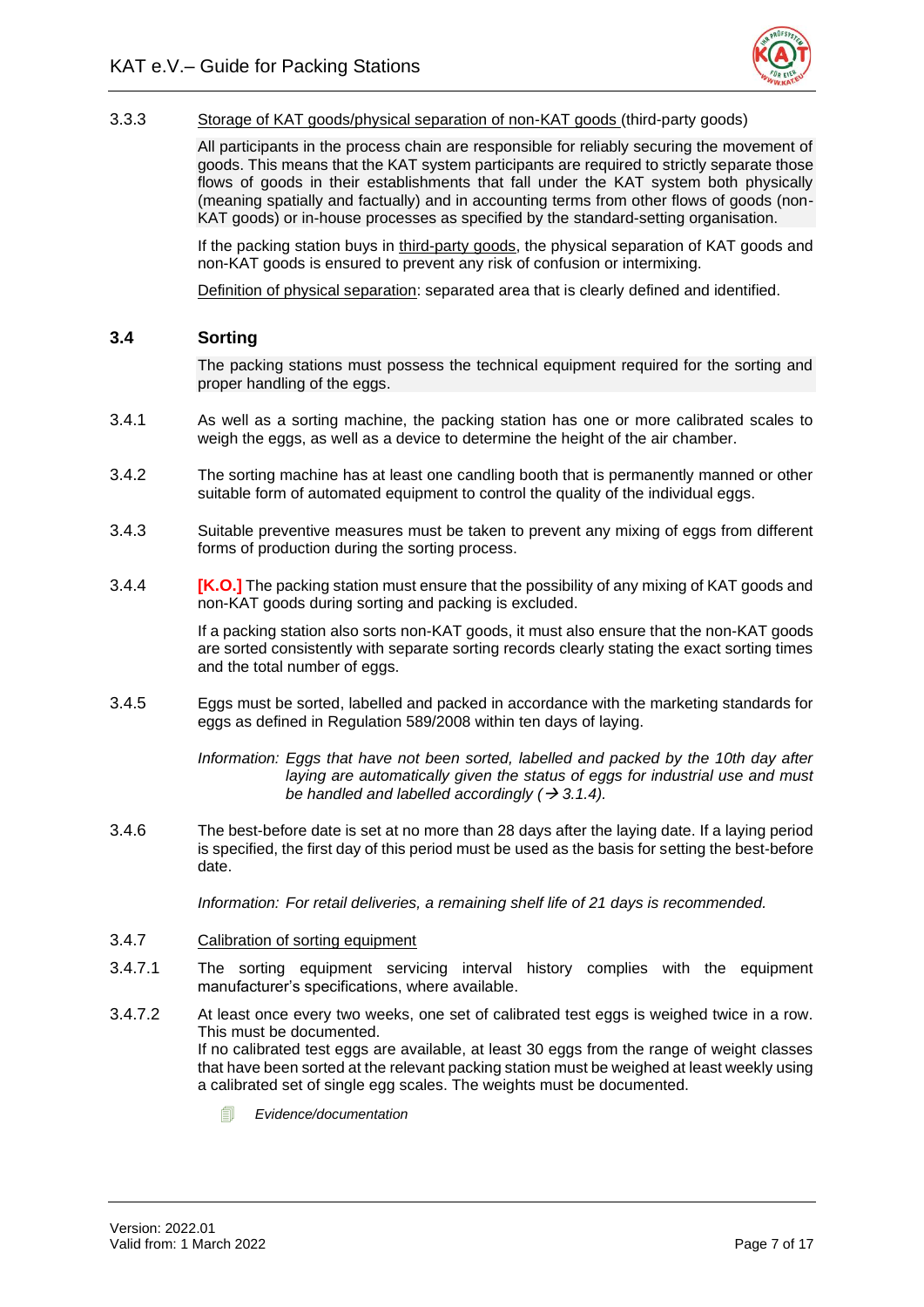

# 3.3.3 Storage of KAT goods/physical separation of non-KAT goods (third-party goods)

All participants in the process chain are responsible for reliably securing the movement of goods. This means that the KAT system participants are required to strictly separate those flows of goods in their establishments that fall under the KAT system both physically (meaning spatially and factually) and in accounting terms from other flows of goods (non-KAT goods) or in-house processes as specified by the standard-setting organisation.

If the packing station buys in third-party goods, the physical separation of KAT goods and non-KAT goods is ensured to prevent any risk of confusion or intermixing.

Definition of physical separation: separated area that is clearly defined and identified.

#### <span id="page-10-0"></span>**3.4 Sorting**

The packing stations must possess the technical equipment required for the sorting and proper handling of the eggs.

- 3.4.1 As well as a sorting machine, the packing station has one or more calibrated scales to weigh the eggs, as well as a device to determine the height of the air chamber.
- 3.4.2 The sorting machine has at least one candling booth that is permanently manned or other suitable form of automated equipment to control the quality of the individual eggs.
- 3.4.3 Suitable preventive measures must be taken to prevent any mixing of eggs from different forms of production during the sorting process.
- 3.4.4 **[K.O.]** The packing station must ensure that the possibility of any mixing of KAT goods and non-KAT goods during sorting and packing is excluded.

If a packing station also sorts non-KAT goods, it must also ensure that the non-KAT goods are sorted consistently with separate sorting records clearly stating the exact sorting times and the total number of eggs.

3.4.5 Eggs must be sorted, labelled and packed in accordance with the marketing standards for eggs as defined in Regulation 589/2008 within ten days of laying.

> *Information: Eggs that have not been sorted, labelled and packed by the 10th day after laying are automatically given the status of eggs for industrial use and must be handled and labelled accordingly (* $\rightarrow$  *3.1.4).*

3.4.6 The best-before date is set at no more than 28 days after the laying date. If a laying period is specified, the first day of this period must be used as the basis for setting the best-before date.

*Information: For retail deliveries, a remaining shelf life of 21 days is recommended.* 

#### 3.4.7 Calibration of sorting equipment

- 3.4.7.1 The sorting equipment servicing interval history complies with the equipment manufacturer's specifications, where available.
- 3.4.7.2 At least once every two weeks, one set of calibrated test eggs is weighed twice in a row. This must be documented. If no calibrated test eggs are available, at least 30 eggs from the range of weight classes that have been sorted at the relevant packing station must be weighed at least weekly using a calibrated set of single egg scales. The weights must be documented.
	- *Evidence/documentation*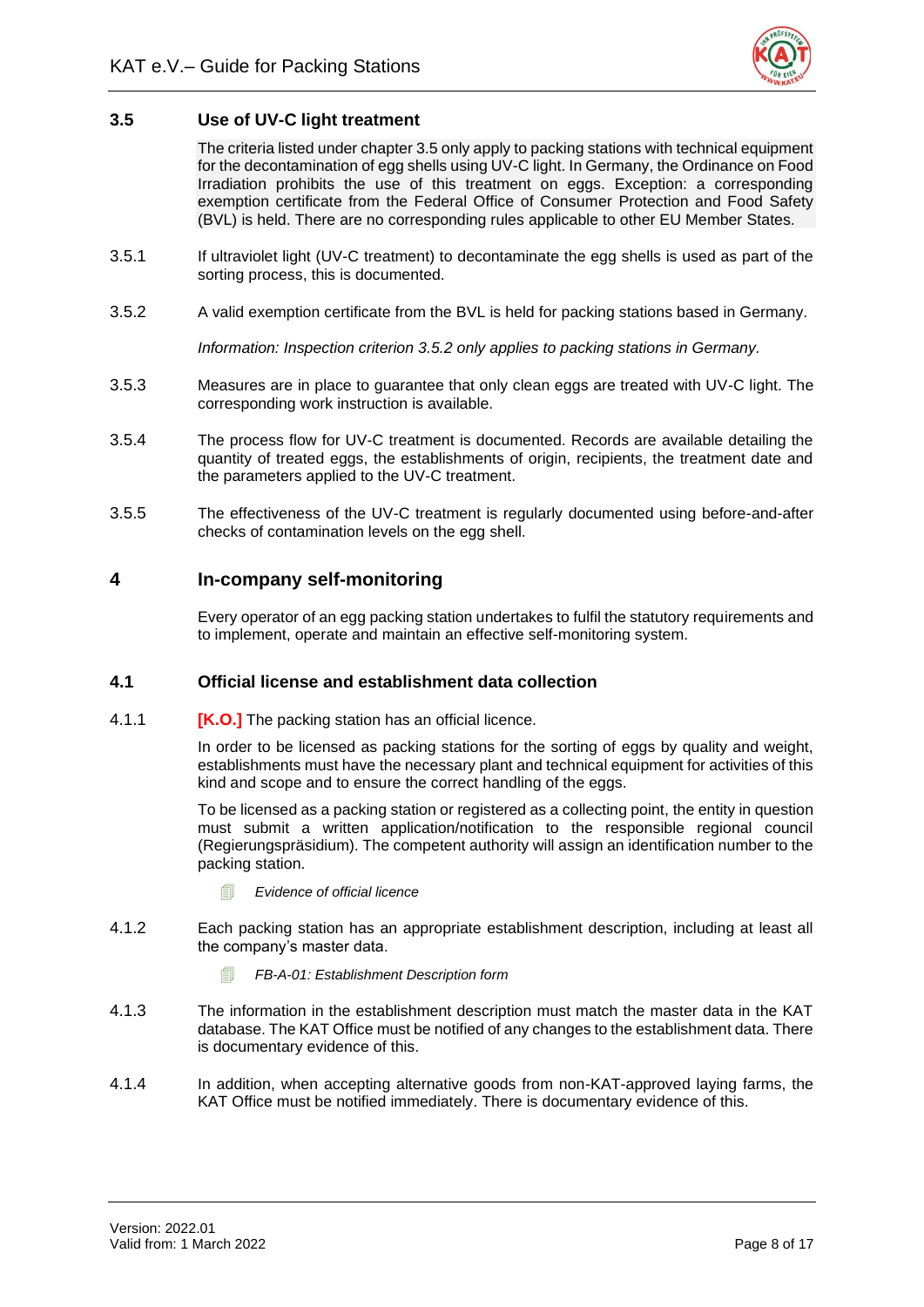

## <span id="page-11-0"></span>**3.5 Use of UV-C light treatment**

The criteria listed under chapter 3.5 only apply to packing stations with technical equipment for the decontamination of egg shells using UV-C light. In Germany, the Ordinance on Food Irradiation prohibits the use of this treatment on eggs. Exception: a corresponding exemption certificate from the Federal Office of Consumer Protection and Food Safety (BVL) is held. There are no corresponding rules applicable to other EU Member States.

- 3.5.1 If ultraviolet light (UV-C treatment) to decontaminate the egg shells is used as part of the sorting process, this is documented.
- 3.5.2 A valid exemption certificate from the BVL is held for packing stations based in Germany.

*Information: Inspection criterion 3.5.2 only applies to packing stations in Germany.* 

- 3.5.3 Measures are in place to guarantee that only clean eggs are treated with UV-C light. The corresponding work instruction is available.
- 3.5.4 The process flow for UV-C treatment is documented. Records are available detailing the quantity of treated eggs, the establishments of origin, recipients, the treatment date and the parameters applied to the UV-C treatment.
- 3.5.5 The effectiveness of the UV-C treatment is regularly documented using before-and-after checks of contamination levels on the egg shell.

# <span id="page-11-1"></span>**4 In-company self-monitoring**

Every operator of an egg packing station undertakes to fulfil the statutory requirements and to implement, operate and maintain an effective self-monitoring system.

#### <span id="page-11-2"></span>**4.1 Official license and establishment data collection**

4.1.1 **[K.O.]** The packing station has an official licence.

In order to be licensed as packing stations for the sorting of eggs by quality and weight, establishments must have the necessary plant and technical equipment for activities of this kind and scope and to ensure the correct handling of the eggs.

To be licensed as a packing station or registered as a collecting point, the entity in question must submit a written application/notification to the responsible regional council (Regierungspräsidium). The competent authority will assign an identification number to the packing station.

- *Evidence of official licence*
- 4.1.2 Each packing station has an appropriate establishment description, including at least all the company's master data.
	- *FB-A-01: Establishment Description form*
- 4.1.3 The information in the establishment description must match the master data in the KAT database. The KAT Office must be notified of any changes to the establishment data. There is documentary evidence of this.
- 4.1.4 In addition, when accepting alternative goods from non-KAT-approved laying farms, the KAT Office must be notified immediately. There is documentary evidence of this.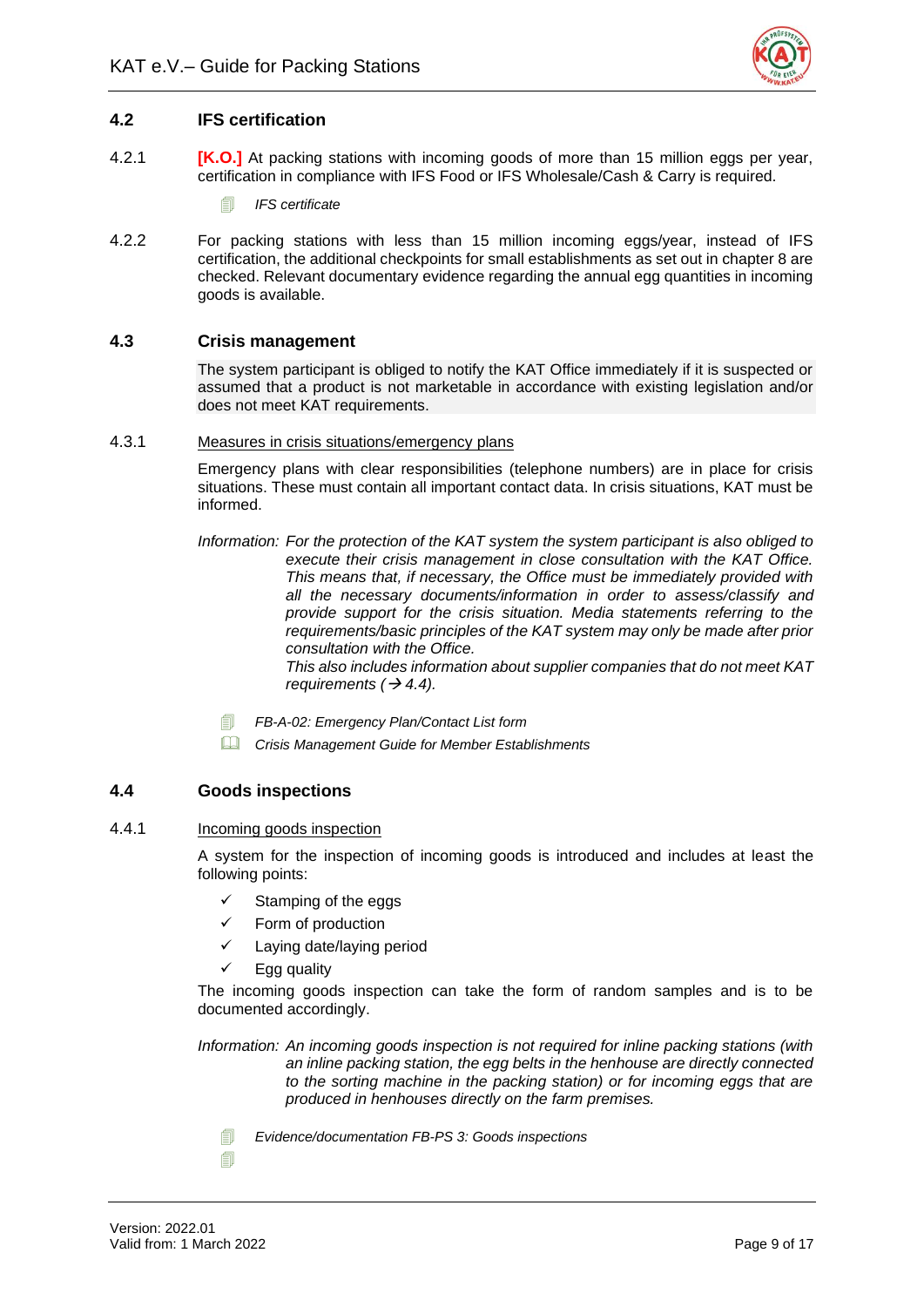

# <span id="page-12-0"></span>**4.2 IFS certification**

- 4.2.1 **[K.O.]** At packing stations with incoming goods of more than 15 million eggs per year, certification in compliance with IFS Food or IFS Wholesale/Cash & Carry is required.
	- *IFS certificate*
- 4.2.2 For packing stations with less than 15 million incoming eggs/year, instead of IFS certification, the additional checkpoints for small establishments as set out in chapter 8 are checked. Relevant documentary evidence regarding the annual egg quantities in incoming goods is available.

# <span id="page-12-1"></span>**4.3 Crisis management**

The system participant is obliged to notify the KAT Office immediately if it is suspected or assumed that a product is not marketable in accordance with existing legislation and/or does not meet KAT requirements.

#### 4.3.1 Measures in crisis situations/emergency plans

Emergency plans with clear responsibilities (telephone numbers) are in place for crisis situations. These must contain all important contact data. In crisis situations, KAT must be informed.

*Information: For the protection of the KAT system the system participant is also obliged to execute their crisis management in close consultation with the KAT Office. This means that, if necessary, the Office must be immediately provided with all the necessary documents/information in order to assess/classify and provide support for the crisis situation. Media statements referring to the requirements/basic principles of the KAT system may only be made after prior consultation with the Office.*

*This also includes information about supplier companies that do not meet KAT requirements (* $\rightarrow$  *4.4).* 

- *FB-A-02: Emergency Plan/Contact List form*
- *Crisis Management Guide for Member Establishments*

# <span id="page-12-2"></span>**4.4 Goods inspections**

#### 4.4.1 Incoming goods inspection

A system for the inspection of incoming goods is introduced and includes at least the following points:

- $\checkmark$  Stamping of the eggs
- ✓ Form of production
- Laying date/laying period
- $\checkmark$  Egg quality

The incoming goods inspection can take the form of random samples and is to be documented accordingly.

*Information: An incoming goods inspection is not required for inline packing stations (with an inline packing station, the egg belts in the henhouse are directly connected to the sorting machine in the packing station) or for incoming eggs that are produced in henhouses directly on the farm premises.*

*Evidence/documentation FB-PS 3: Goods inspections*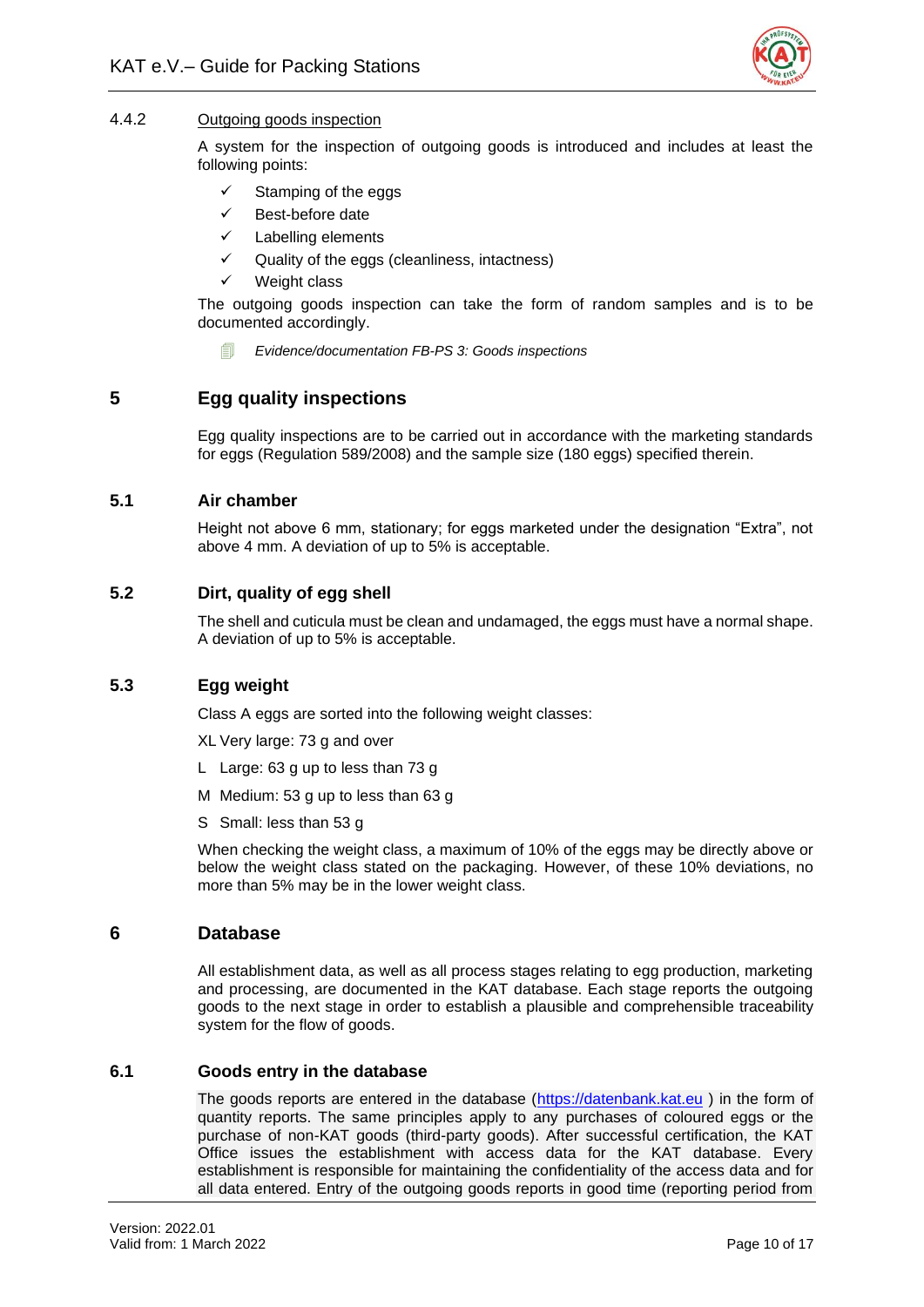

# 4.4.2 Outgoing goods inspection

A system for the inspection of outgoing goods is introduced and includes at least the following points:

- Stamping of the eggs
- Best-before date
- ✓ Labelling elements
- ✓ Quality of the eggs (cleanliness, intactness)
- Weight class

The outgoing goods inspection can take the form of random samples and is to be documented accordingly.

**EVidence/documentation FB-PS 3: Goods inspections** 

# <span id="page-13-0"></span>**5 Egg quality inspections**

Egg quality inspections are to be carried out in accordance with the marketing standards for eggs (Regulation 589/2008) and the sample size (180 eggs) specified therein.

# <span id="page-13-1"></span>**5.1 Air chamber**

Height not above 6 mm, stationary; for eggs marketed under the designation "Extra", not above 4 mm. A deviation of up to 5% is acceptable.

# <span id="page-13-2"></span>**5.2 Dirt, quality of egg shell**

The shell and cuticula must be clean and undamaged, the eggs must have a normal shape. A deviation of up to 5% is acceptable.

#### <span id="page-13-3"></span>**5.3 Egg weight**

Class A eggs are sorted into the following weight classes:

XL Very large: 73 g and over

- L Large: 63 g up to less than 73 g
- M Medium: 53 g up to less than 63 g
- S Small: less than 53 g

When checking the weight class, a maximum of 10% of the eggs may be directly above or below the weight class stated on the packaging. However, of these 10% deviations, no more than 5% may be in the lower weight class.

#### <span id="page-13-4"></span>**6 Database**

All establishment data, as well as all process stages relating to egg production, marketing and processing, are documented in the KAT database. Each stage reports the outgoing goods to the next stage in order to establish a plausible and comprehensible traceability system for the flow of goods.

#### <span id="page-13-5"></span>**6.1 Goods entry in the database**

The goods reports are entered in the database [\(https://datenbank.kat.eu](https://datenbank.kat.eu/) ) in the form of quantity reports. The same principles apply to any purchases of coloured eggs or the purchase of non-KAT goods (third-party goods). After successful certification, the KAT Office issues the establishment with access data for the KAT database. Every establishment is responsible for maintaining the confidentiality of the access data and for all data entered. Entry of the outgoing goods reports in good time (reporting period from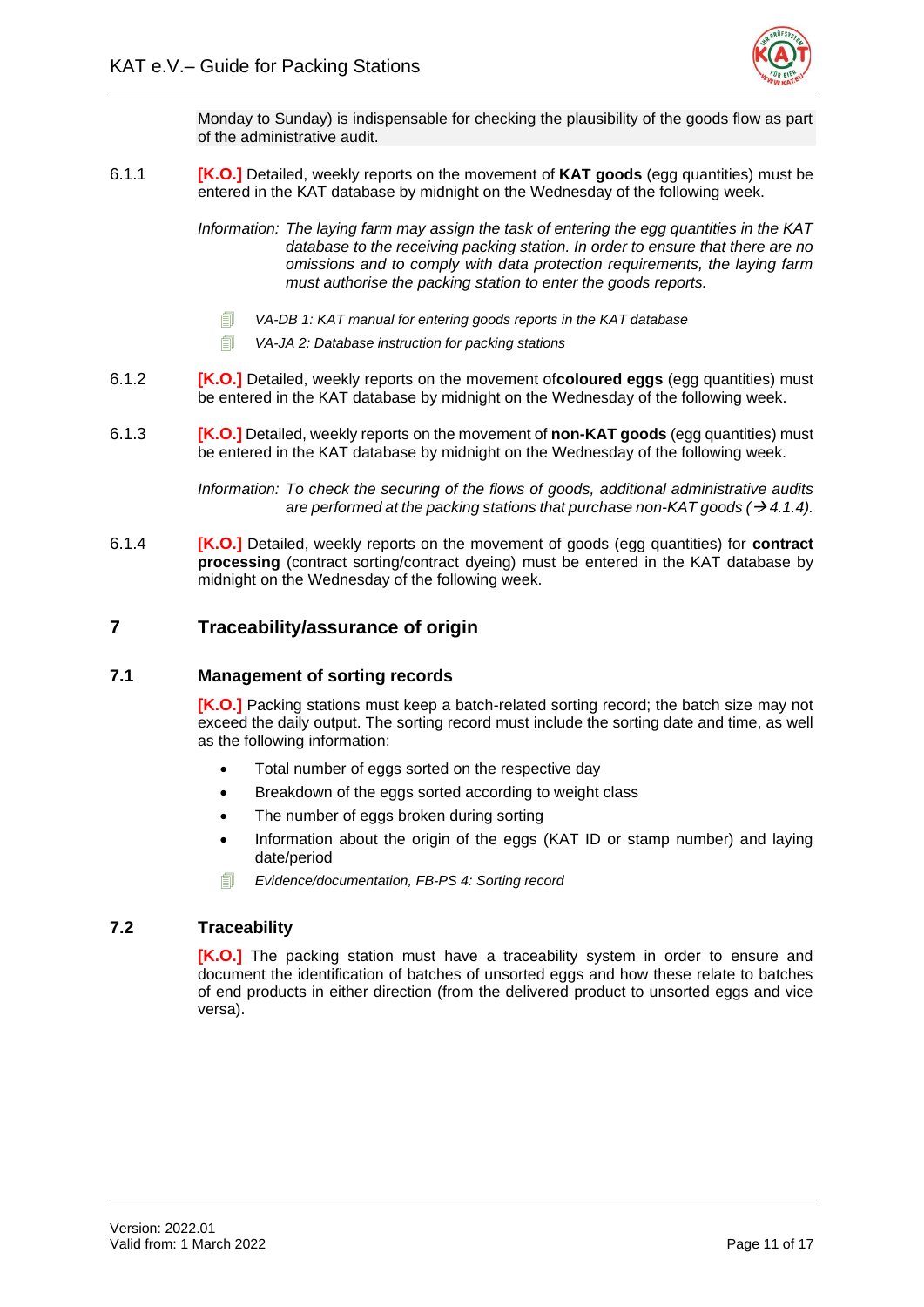

Monday to Sunday) is indispensable for checking the plausibility of the goods flow as part of the administrative audit.

6.1.1 **[K.O.]** Detailed, weekly reports on the movement of **KAT goods** (egg quantities) must be entered in the KAT database by midnight on the Wednesday of the following week.

> *Information: The laying farm may assign the task of entering the egg quantities in the KAT database to the receiving packing station. In order to ensure that there are no omissions and to comply with data protection requirements, the laying farm must authorise the packing station to enter the goods reports.*

- *VA-DB 1: KAT manual for entering goods reports in the KAT database*
- *VA-JA 2: Database instruction for packing stations*
- 6.1.2 **[K.O.]** Detailed, weekly reports on the movement of**coloured eggs** (egg quantities) must be entered in the KAT database by midnight on the Wednesday of the following week.
- 6.1.3 **[K.O.]** Detailed, weekly reports on the movement of **non-KAT goods** (egg quantities) must be entered in the KAT database by midnight on the Wednesday of the following week.

*Information: To check the securing of the flows of goods, additional administrative audits are performed at the packing stations that purchase non-KAT goods*  $(\rightarrow 4.1.4)$ *.* 

6.1.4 **[K.O.]** Detailed, weekly reports on the movement of goods (egg quantities) for **contract processing** (contract sorting/contract dyeing) must be entered in the KAT database by midnight on the Wednesday of the following week.

# <span id="page-14-0"></span>**7 Traceability/assurance of origin**

#### <span id="page-14-1"></span>**7.1 Management of sorting records**

**[K.O.]** Packing stations must keep a batch-related sorting record; the batch size may not exceed the daily output. The sorting record must include the sorting date and time, as well as the following information:

- Total number of eggs sorted on the respective day
- Breakdown of the eggs sorted according to weight class
- The number of eggs broken during sorting
- Information about the origin of the eggs (KAT ID or stamp number) and laying date/period
- *Evidence/documentation, FB-PS 4: Sorting record*

#### <span id="page-14-2"></span>**7.2 Traceability**

**[K.O.]** The packing station must have a traceability system in order to ensure and document the identification of batches of unsorted eggs and how these relate to batches of end products in either direction (from the delivered product to unsorted eggs and vice versa).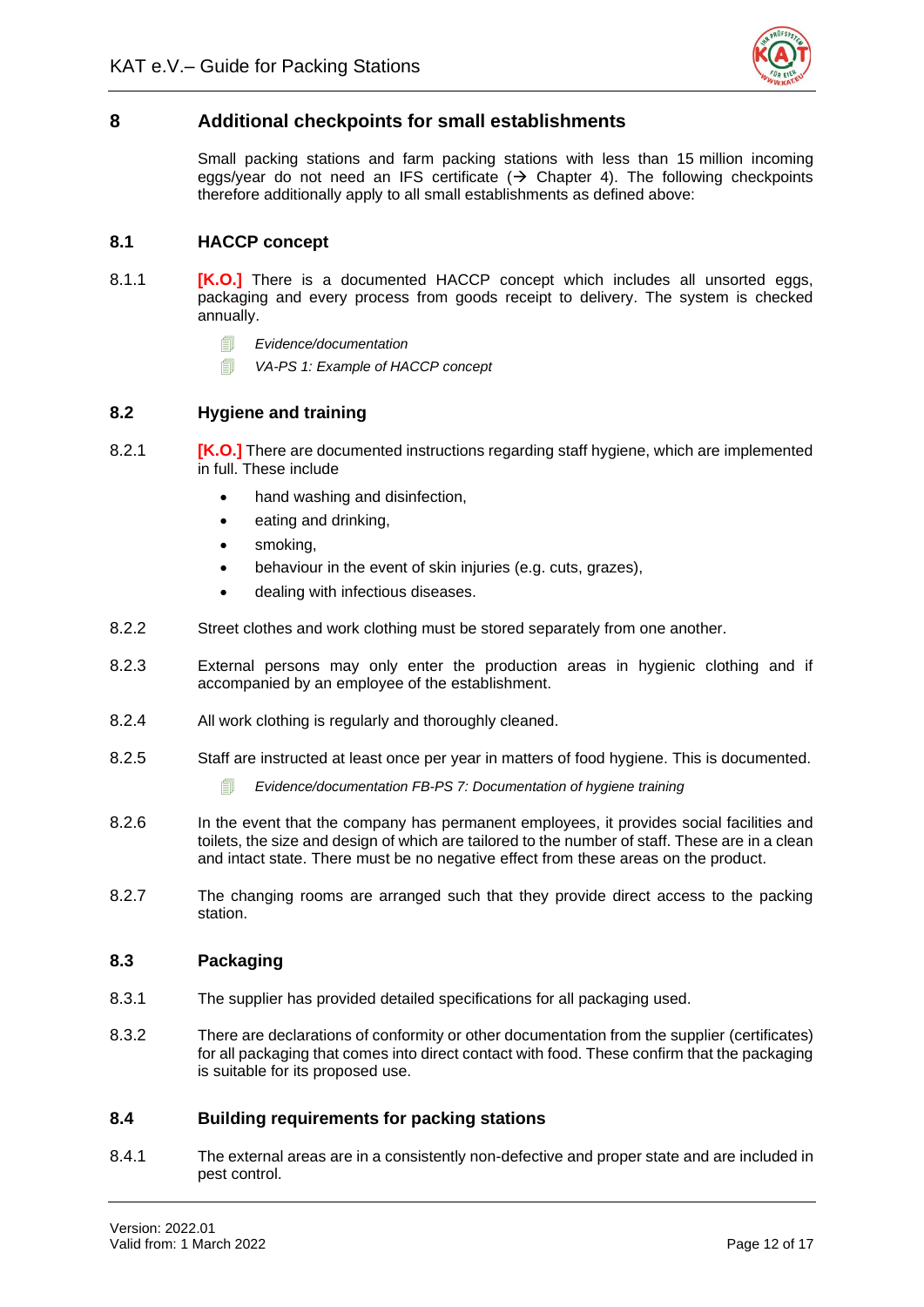

# <span id="page-15-0"></span>**8 Additional checkpoints for small establishments**

Small packing stations and farm packing stations with less than 15 million incoming eggs/year do not need an IFS certificate  $($  > Chapter 4). The following checkpoints therefore additionally apply to all small establishments as defined above:

# <span id="page-15-1"></span>**8.1 HACCP concept**

- 8.1.1 **[K.O.]** There is a documented HACCP concept which includes all unsorted eggs, packaging and every process from goods receipt to delivery. The system is checked annually.
	- *Evidence/documentation*
	- *VA-PS 1: Example of HACCP concept*

# <span id="page-15-2"></span>**8.2 Hygiene and training**

- 8.2.1 **[K.O.]** There are documented instructions regarding staff hygiene, which are implemented in full. These include
	- hand washing and disinfection,
	- eating and drinking,
	- smoking.
	- behaviour in the event of skin injuries (e.g. cuts, grazes),
	- dealing with infectious diseases.
- 8.2.2 Street clothes and work clothing must be stored separately from one another.
- 8.2.3 External persons may only enter the production areas in hygienic clothing and if accompanied by an employee of the establishment.
- 8.2.4 All work clothing is regularly and thoroughly cleaned.
- 8.2.5 Staff are instructed at least once per year in matters of food hygiene. This is documented.
	- *Evidence/documentation FB-PS 7: Documentation of hygiene training*
- 8.2.6 In the event that the company has permanent employees, it provides social facilities and toilets, the size and design of which are tailored to the number of staff. These are in a clean and intact state. There must be no negative effect from these areas on the product.
- 8.2.7 The changing rooms are arranged such that they provide direct access to the packing station.

#### <span id="page-15-3"></span>**8.3 Packaging**

- 8.3.1 The supplier has provided detailed specifications for all packaging used.
- 8.3.2 There are declarations of conformity or other documentation from the supplier (certificates) for all packaging that comes into direct contact with food. These confirm that the packaging is suitable for its proposed use.

#### <span id="page-15-4"></span>**8.4 Building requirements for packing stations**

8.4.1 The external areas are in a consistently non-defective and proper state and are included in pest control.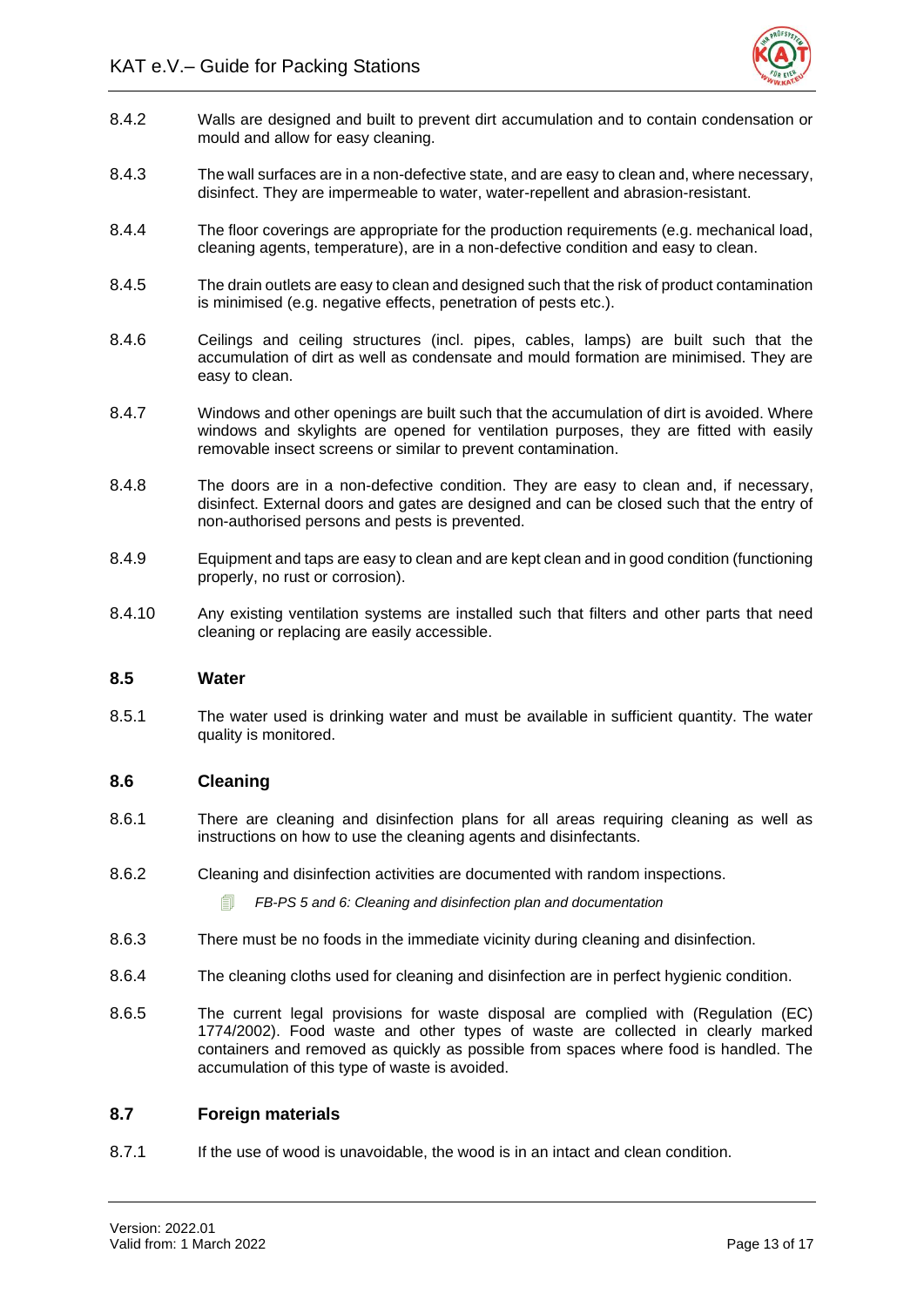

- 8.4.2 Walls are designed and built to prevent dirt accumulation and to contain condensation or mould and allow for easy cleaning.
- 8.4.3 The wall surfaces are in a non-defective state, and are easy to clean and, where necessary, disinfect. They are impermeable to water, water-repellent and abrasion-resistant.
- 8.4.4 The floor coverings are appropriate for the production requirements (e.g. mechanical load, cleaning agents, temperature), are in a non-defective condition and easy to clean.
- 8.4.5 The drain outlets are easy to clean and designed such that the risk of product contamination is minimised (e.g. negative effects, penetration of pests etc.).
- 8.4.6 Ceilings and ceiling structures (incl. pipes, cables, lamps) are built such that the accumulation of dirt as well as condensate and mould formation are minimised. They are easy to clean.
- 8.4.7 Windows and other openings are built such that the accumulation of dirt is avoided. Where windows and skylights are opened for ventilation purposes, they are fitted with easily removable insect screens or similar to prevent contamination.
- 8.4.8 The doors are in a non-defective condition. They are easy to clean and, if necessary, disinfect. External doors and gates are designed and can be closed such that the entry of non-authorised persons and pests is prevented.
- 8.4.9 Equipment and taps are easy to clean and are kept clean and in good condition (functioning properly, no rust or corrosion).
- 8.4.10 Any existing ventilation systems are installed such that filters and other parts that need cleaning or replacing are easily accessible.

# <span id="page-16-0"></span>**8.5 Water**

8.5.1 The water used is drinking water and must be available in sufficient quantity. The water quality is monitored.

# <span id="page-16-1"></span>**8.6 Cleaning**

- 8.6.1 There are cleaning and disinfection plans for all areas requiring cleaning as well as instructions on how to use the cleaning agents and disinfectants.
- 8.6.2 Cleaning and disinfection activities are documented with random inspections.

*FB-PS 5 and 6: Cleaning and disinfection plan and documentation*

- 8.6.3 There must be no foods in the immediate vicinity during cleaning and disinfection.
- 8.6.4 The cleaning cloths used for cleaning and disinfection are in perfect hygienic condition.
- 8.6.5 The current legal provisions for waste disposal are complied with (Regulation (EC) 1774/2002). Food waste and other types of waste are collected in clearly marked containers and removed as quickly as possible from spaces where food is handled. The accumulation of this type of waste is avoided.

#### <span id="page-16-2"></span>**8.7 Foreign materials**

8.7.1 If the use of wood is unavoidable, the wood is in an intact and clean condition.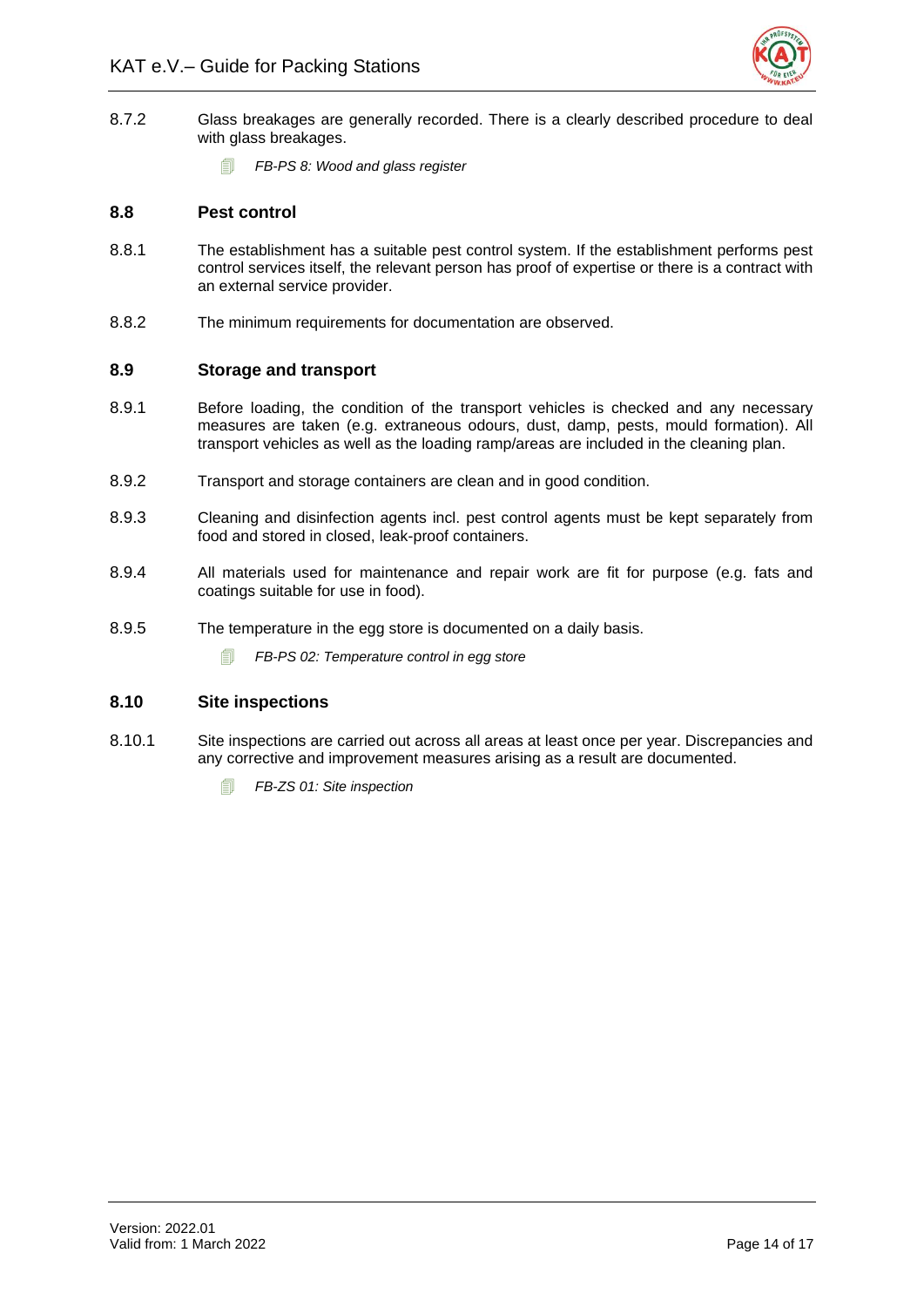

- 8.7.2 Glass breakages are generally recorded. There is a clearly described procedure to deal with glass breakages.
	- *FB-PS 8: Wood and glass register*

# <span id="page-17-0"></span>**8.8 Pest control**

- 8.8.1 The establishment has a suitable pest control system. If the establishment performs pest control services itself, the relevant person has proof of expertise or there is a contract with an external service provider.
- 8.8.2 The minimum requirements for documentation are observed.

# <span id="page-17-1"></span>**8.9 Storage and transport**

- 8.9.1 Before loading, the condition of the transport vehicles is checked and any necessary measures are taken (e.g. extraneous odours, dust, damp, pests, mould formation). All transport vehicles as well as the loading ramp/areas are included in the cleaning plan.
- 8.9.2 Transport and storage containers are clean and in good condition.
- 8.9.3 Cleaning and disinfection agents incl. pest control agents must be kept separately from food and stored in closed, leak-proof containers.
- 8.9.4 All materials used for maintenance and repair work are fit for purpose (e.g. fats and coatings suitable for use in food).
- 8.9.5 The temperature in the egg store is documented on a daily basis.
	- *FB-PS 02: Temperature control in egg store*

# <span id="page-17-2"></span>**8.10 Site inspections**

- 8.10.1 Site inspections are carried out across all areas at least once per year. Discrepancies and any corrective and improvement measures arising as a result are documented.
	- *FB-ZS 01: Site inspection*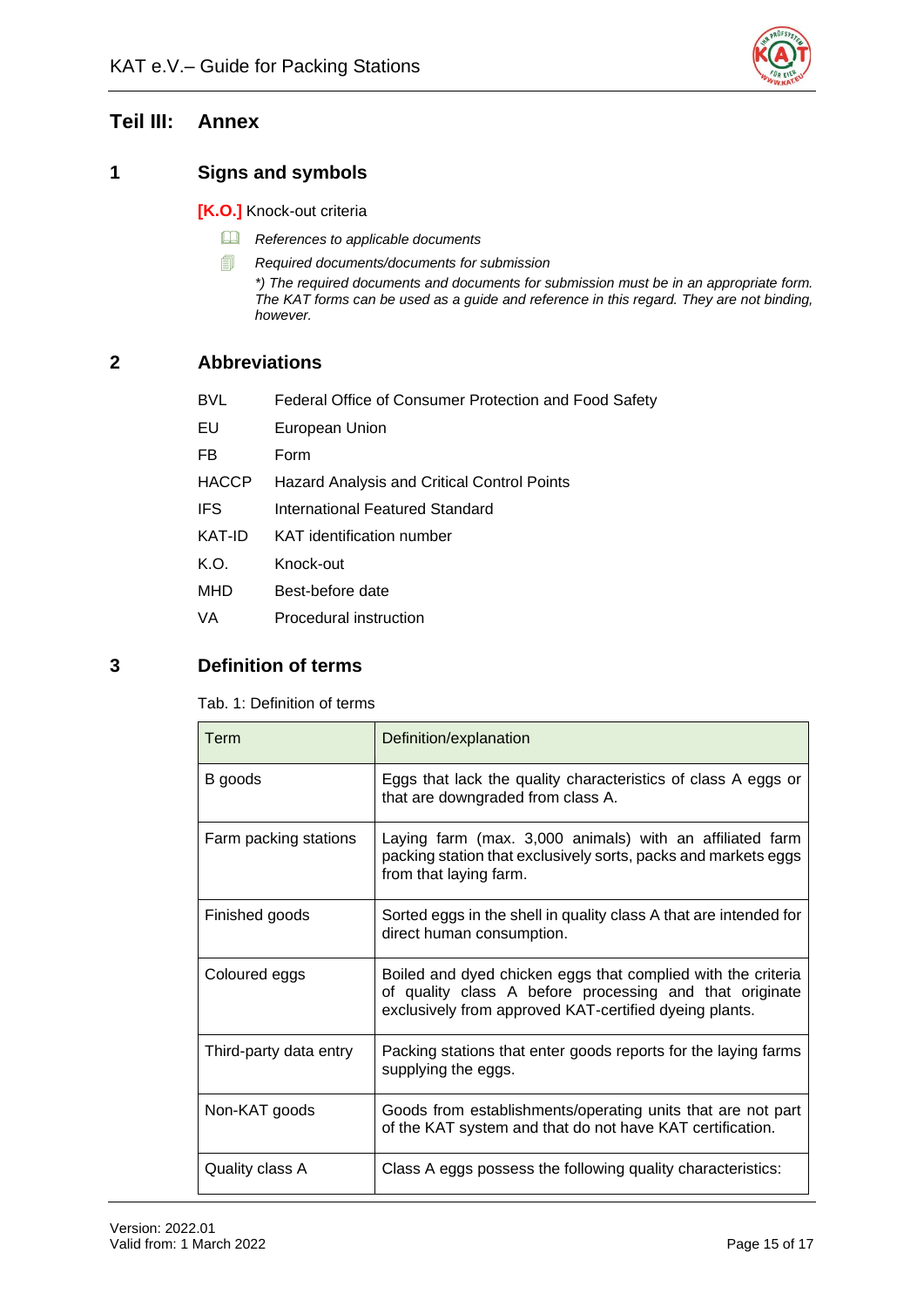

# <span id="page-18-0"></span>**Teil III: Annex**

# <span id="page-18-1"></span>**1 Signs and symbols**

**[K.O.]** Knock-out criteria

- *References to applicable documents*
- *Required documents/documents for submission*

*\*) The required documents and documents for submission must be in an appropriate form. The KAT forms can be used as a guide and reference in this regard. They are not binding, however.*

# <span id="page-18-2"></span>**2 Abbreviations**

| <b>BVL</b>   | Federal Office of Consumer Protection and Food Safety |
|--------------|-------------------------------------------------------|
| EU           | European Union                                        |
| FB           | Form                                                  |
| <b>HACCP</b> | Hazard Analysis and Critical Control Points           |
| <b>IFS</b>   | International Featured Standard                       |
| KAT-ID       | KAT identification number                             |
| K.O.         | Knock-out                                             |
| MHD          | Best-before date                                      |
| VA           | Procedural instruction                                |

# <span id="page-18-4"></span><span id="page-18-3"></span>**3 Definition of terms**

Tab. 1: Definition of terms

| Term                   | Definition/explanation                                                                                                                                                            |
|------------------------|-----------------------------------------------------------------------------------------------------------------------------------------------------------------------------------|
| B goods                | Eggs that lack the quality characteristics of class A eggs or<br>that are downgraded from class A.                                                                                |
| Farm packing stations  | Laying farm (max. 3,000 animals) with an affiliated farm<br>packing station that exclusively sorts, packs and markets eggs<br>from that laying farm.                              |
| Finished goods         | Sorted eggs in the shell in quality class A that are intended for<br>direct human consumption.                                                                                    |
| Coloured eggs          | Boiled and dyed chicken eggs that complied with the criteria<br>of quality class A before processing and that originate<br>exclusively from approved KAT-certified dyeing plants. |
| Third-party data entry | Packing stations that enter goods reports for the laying farms<br>supplying the eggs.                                                                                             |
| Non-KAT goods          | Goods from establishments/operating units that are not part<br>of the KAT system and that do not have KAT certification.                                                          |
| Quality class A        | Class A eggs possess the following quality characteristics:                                                                                                                       |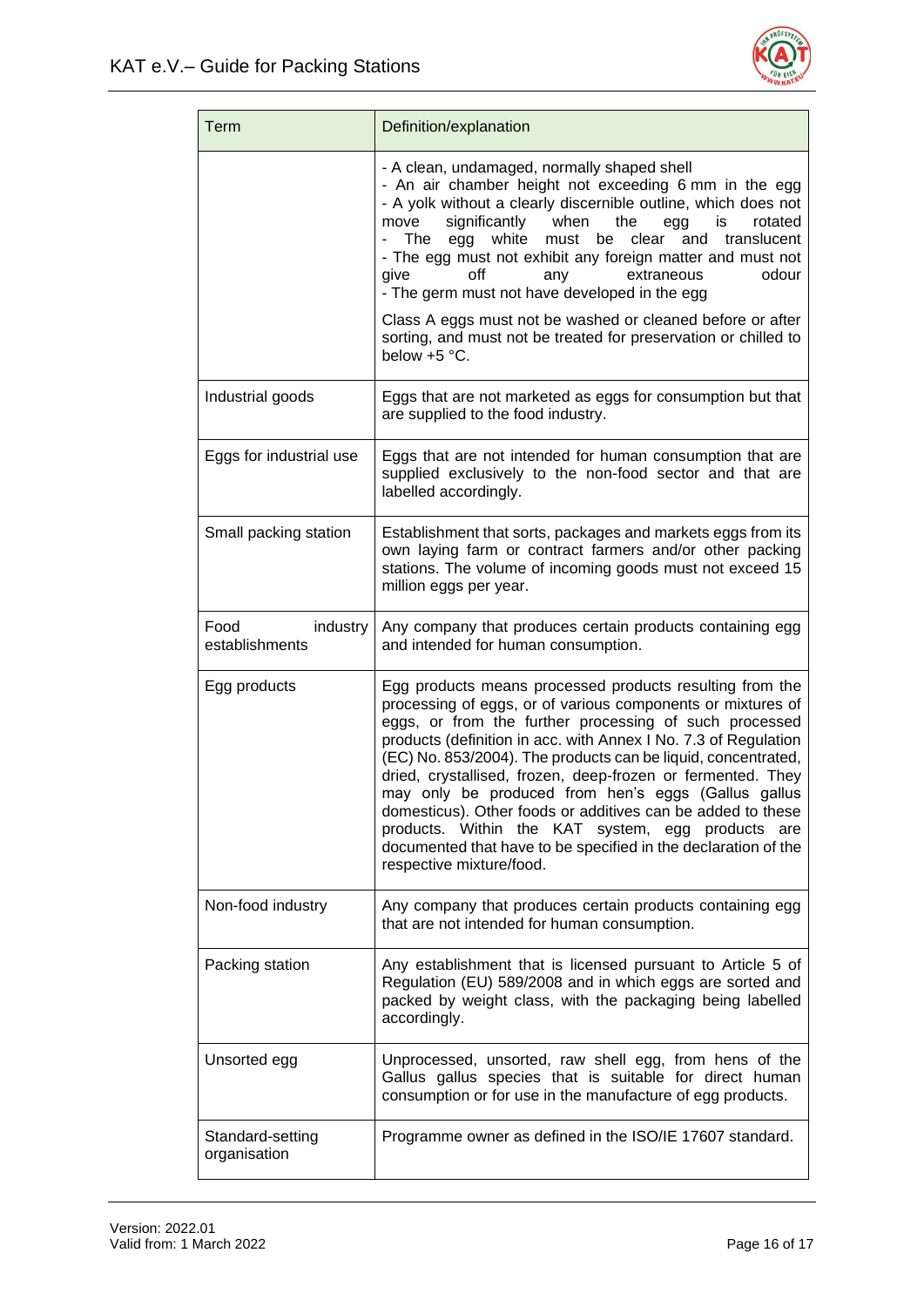

| Term                               | Definition/explanation                                                                                                                                                                                                                                                                                                                                                                                                                                                                                                                                                                                                                                        |
|------------------------------------|---------------------------------------------------------------------------------------------------------------------------------------------------------------------------------------------------------------------------------------------------------------------------------------------------------------------------------------------------------------------------------------------------------------------------------------------------------------------------------------------------------------------------------------------------------------------------------------------------------------------------------------------------------------|
|                                    | - A clean, undamaged, normally shaped shell<br>- An air chamber height not exceeding 6 mm in the egg<br>- A yolk without a clearly discernible outline, which does not<br>significantly<br>rotated<br>when<br>the<br>move<br>egg<br>is<br>white<br>The<br>egg<br>must be<br>clear<br>and<br>translucent<br>- The egg must not exhibit any foreign matter and must not<br>odour<br>give<br>off<br>extraneous<br>any<br>- The germ must not have developed in the egg                                                                                                                                                                                           |
|                                    | Class A eggs must not be washed or cleaned before or after<br>sorting, and must not be treated for preservation or chilled to<br>below +5 °C.                                                                                                                                                                                                                                                                                                                                                                                                                                                                                                                 |
| Industrial goods                   | Eggs that are not marketed as eggs for consumption but that<br>are supplied to the food industry.                                                                                                                                                                                                                                                                                                                                                                                                                                                                                                                                                             |
| Eggs for industrial use            | Eggs that are not intended for human consumption that are<br>supplied exclusively to the non-food sector and that are<br>labelled accordingly.                                                                                                                                                                                                                                                                                                                                                                                                                                                                                                                |
| Small packing station              | Establishment that sorts, packages and markets eggs from its<br>own laying farm or contract farmers and/or other packing<br>stations. The volume of incoming goods must not exceed 15<br>million eggs per year.                                                                                                                                                                                                                                                                                                                                                                                                                                               |
| Food<br>industry<br>establishments | Any company that produces certain products containing egg<br>and intended for human consumption.                                                                                                                                                                                                                                                                                                                                                                                                                                                                                                                                                              |
| Egg products                       | Egg products means processed products resulting from the<br>processing of eggs, or of various components or mixtures of<br>eggs, or from the further processing of such processed<br>products (definition in acc. with Annex I No. 7.3 of Regulation<br>(EC) No. 853/2004). The products can be liquid, concentrated,<br>dried, crystallised, frozen, deep-frozen or fermented. They<br>may only be produced from hen's eggs (Gallus gallus<br>domesticus). Other foods or additives can be added to these<br>products. Within the KAT system, egg products are<br>documented that have to be specified in the declaration of the<br>respective mixture/food. |
| Non-food industry                  | Any company that produces certain products containing egg<br>that are not intended for human consumption.                                                                                                                                                                                                                                                                                                                                                                                                                                                                                                                                                     |
| Packing station                    | Any establishment that is licensed pursuant to Article 5 of<br>Regulation (EU) 589/2008 and in which eggs are sorted and<br>packed by weight class, with the packaging being labelled<br>accordingly.                                                                                                                                                                                                                                                                                                                                                                                                                                                         |
| Unsorted egg                       | Unprocessed, unsorted, raw shell egg, from hens of the<br>Gallus gallus species that is suitable for direct human<br>consumption or for use in the manufacture of egg products.                                                                                                                                                                                                                                                                                                                                                                                                                                                                               |
| Standard-setting<br>organisation   | Programme owner as defined in the ISO/IE 17607 standard.                                                                                                                                                                                                                                                                                                                                                                                                                                                                                                                                                                                                      |